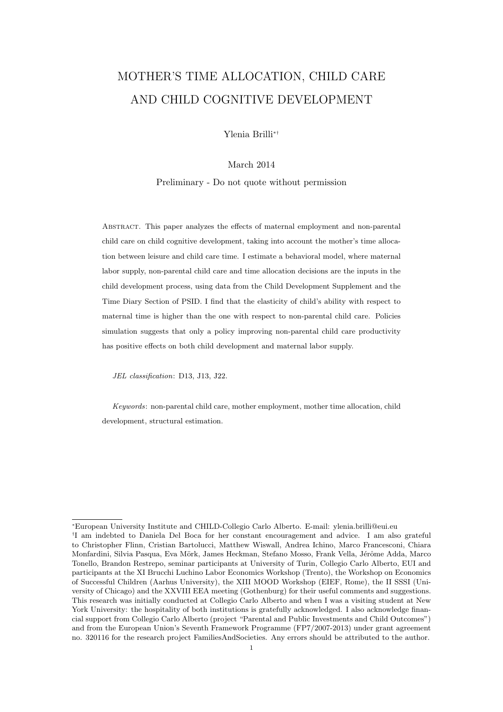# MOTHER'S TIME ALLOCATION, CHILD CARE AND CHILD COGNITIVE DEVELOPMENT

Ylenia Brilli<sup>∗</sup>†

## March 2014

Preliminary - Do not quote without permission

Abstract. This paper analyzes the effects of maternal employment and non-parental child care on child cognitive development, taking into account the mother's time allocation between leisure and child care time. I estimate a behavioral model, where maternal labor supply, non-parental child care and time allocation decisions are the inputs in the child development process, using data from the Child Development Supplement and the Time Diary Section of PSID. I find that the elasticity of child's ability with respect to maternal time is higher than the one with respect to non-parental child care. Policies simulation suggests that only a policy improving non-parental child care productivity has positive effects on both child development and maternal labor supply.

JEL classification: D13, J13, J22.

Keywords: non-parental child care, mother employment, mother time allocation, child development, structural estimation.

<sup>∗</sup>European University Institute and CHILD-Collegio Carlo Alberto. E-mail: ylenia.brilli@eui.eu † I am indebted to Daniela Del Boca for her constant encouragement and advice. I am also grateful to Christopher Flinn, Cristian Bartolucci, Matthew Wiswall, Andrea Ichino, Marco Francesconi, Chiara Monfardini, Silvia Pasqua, Eva Mörk, James Heckman, Stefano Mosso, Frank Vella, Jérôme Adda, Marco Tonello, Brandon Restrepo, seminar participants at University of Turin, Collegio Carlo Alberto, EUI and participants at the XI Brucchi Luchino Labor Economics Workshop (Trento), the Workshop on Economics of Successful Children (Aarhus University), the XIII MOOD Workshop (EIEF, Rome), the II SSSI (University of Chicago) and the XXVIII EEA meeting (Gothenburg) for their useful comments and suggestions. This research was initially conducted at Collegio Carlo Alberto and when I was a visiting student at New York University: the hospitality of both institutions is gratefully acknowledged. I also acknowledge financial support from Collegio Carlo Alberto (project "Parental and Public Investments and Child Outcomes") and from the European Union's Seventh Framework Programme (FP7/2007-2013) under grant agreement no. 320116 for the research project FamiliesAndSocieties. Any errors should be attributed to the author.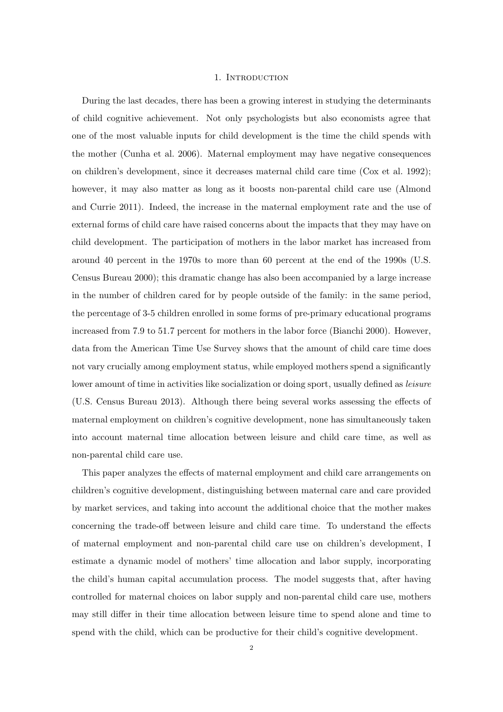## 1. Introduction

During the last decades, there has been a growing interest in studying the determinants of child cognitive achievement. Not only psychologists but also economists agree that one of the most valuable inputs for child development is the time the child spends with the mother (Cunha et al. 2006). Maternal employment may have negative consequences on children's development, since it decreases maternal child care time (Cox et al. 1992); however, it may also matter as long as it boosts non-parental child care use (Almond and Currie 2011). Indeed, the increase in the maternal employment rate and the use of external forms of child care have raised concerns about the impacts that they may have on child development. The participation of mothers in the labor market has increased from around 40 percent in the 1970s to more than 60 percent at the end of the 1990s (U.S. Census Bureau 2000); this dramatic change has also been accompanied by a large increase in the number of children cared for by people outside of the family: in the same period, the percentage of 3-5 children enrolled in some forms of pre-primary educational programs increased from 7.9 to 51.7 percent for mothers in the labor force (Bianchi 2000). However, data from the American Time Use Survey shows that the amount of child care time does not vary crucially among employment status, while employed mothers spend a significantly lower amount of time in activities like socialization or doing sport, usually defined as *leisure* (U.S. Census Bureau 2013). Although there being several works assessing the effects of maternal employment on children's cognitive development, none has simultaneously taken into account maternal time allocation between leisure and child care time, as well as non-parental child care use.

This paper analyzes the effects of maternal employment and child care arrangements on children's cognitive development, distinguishing between maternal care and care provided by market services, and taking into account the additional choice that the mother makes concerning the trade-off between leisure and child care time. To understand the effects of maternal employment and non-parental child care use on children's development, I estimate a dynamic model of mothers' time allocation and labor supply, incorporating the child's human capital accumulation process. The model suggests that, after having controlled for maternal choices on labor supply and non-parental child care use, mothers may still differ in their time allocation between leisure time to spend alone and time to spend with the child, which can be productive for their child's cognitive development.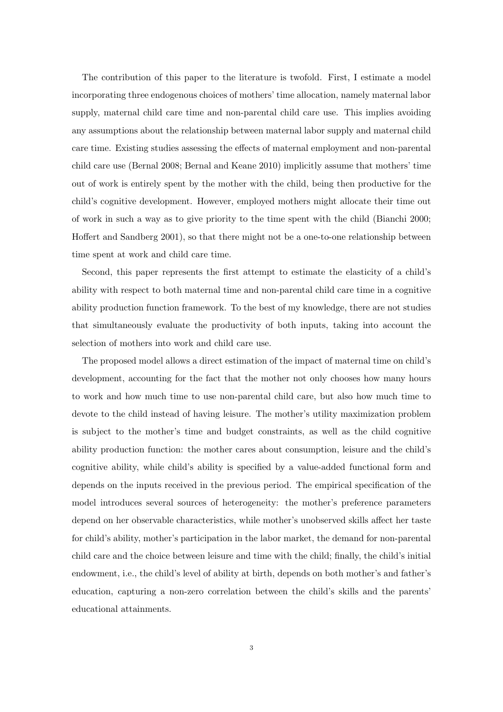The contribution of this paper to the literature is twofold. First, I estimate a model incorporating three endogenous choices of mothers' time allocation, namely maternal labor supply, maternal child care time and non-parental child care use. This implies avoiding any assumptions about the relationship between maternal labor supply and maternal child care time. Existing studies assessing the effects of maternal employment and non-parental child care use (Bernal 2008; Bernal and Keane 2010) implicitly assume that mothers' time out of work is entirely spent by the mother with the child, being then productive for the child's cognitive development. However, employed mothers might allocate their time out of work in such a way as to give priority to the time spent with the child (Bianchi 2000; Hoffert and Sandberg 2001), so that there might not be a one-to-one relationship between time spent at work and child care time.

Second, this paper represents the first attempt to estimate the elasticity of a child's ability with respect to both maternal time and non-parental child care time in a cognitive ability production function framework. To the best of my knowledge, there are not studies that simultaneously evaluate the productivity of both inputs, taking into account the selection of mothers into work and child care use.

The proposed model allows a direct estimation of the impact of maternal time on child's development, accounting for the fact that the mother not only chooses how many hours to work and how much time to use non-parental child care, but also how much time to devote to the child instead of having leisure. The mother's utility maximization problem is subject to the mother's time and budget constraints, as well as the child cognitive ability production function: the mother cares about consumption, leisure and the child's cognitive ability, while child's ability is specified by a value-added functional form and depends on the inputs received in the previous period. The empirical specification of the model introduces several sources of heterogeneity: the mother's preference parameters depend on her observable characteristics, while mother's unobserved skills affect her taste for child's ability, mother's participation in the labor market, the demand for non-parental child care and the choice between leisure and time with the child; finally, the child's initial endowment, i.e., the child's level of ability at birth, depends on both mother's and father's education, capturing a non-zero correlation between the child's skills and the parents' educational attainments.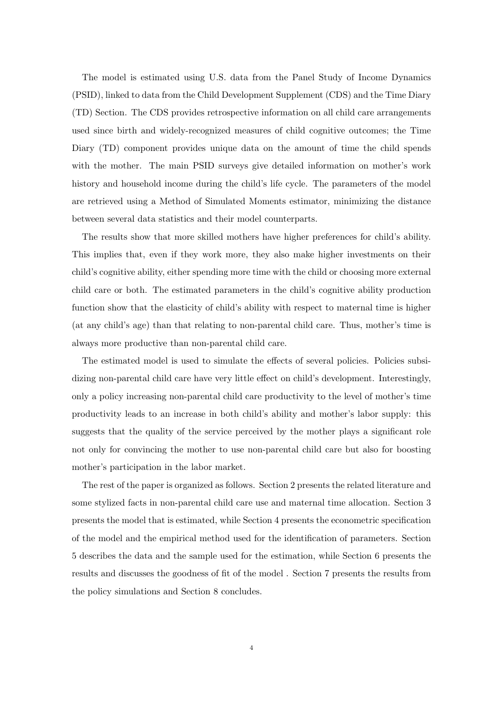The model is estimated using U.S. data from the Panel Study of Income Dynamics (PSID), linked to data from the Child Development Supplement (CDS) and the Time Diary (TD) Section. The CDS provides retrospective information on all child care arrangements used since birth and widely-recognized measures of child cognitive outcomes; the Time Diary (TD) component provides unique data on the amount of time the child spends with the mother. The main PSID surveys give detailed information on mother's work history and household income during the child's life cycle. The parameters of the model are retrieved using a Method of Simulated Moments estimator, minimizing the distance between several data statistics and their model counterparts.

The results show that more skilled mothers have higher preferences for child's ability. This implies that, even if they work more, they also make higher investments on their child's cognitive ability, either spending more time with the child or choosing more external child care or both. The estimated parameters in the child's cognitive ability production function show that the elasticity of child's ability with respect to maternal time is higher (at any child's age) than that relating to non-parental child care. Thus, mother's time is always more productive than non-parental child care.

The estimated model is used to simulate the effects of several policies. Policies subsidizing non-parental child care have very little effect on child's development. Interestingly, only a policy increasing non-parental child care productivity to the level of mother's time productivity leads to an increase in both child's ability and mother's labor supply: this suggests that the quality of the service perceived by the mother plays a significant role not only for convincing the mother to use non-parental child care but also for boosting mother's participation in the labor market.

The rest of the paper is organized as follows. Section 2 presents the related literature and some stylized facts in non-parental child care use and maternal time allocation. Section 3 presents the model that is estimated, while Section 4 presents the econometric specification of the model and the empirical method used for the identification of parameters. Section 5 describes the data and the sample used for the estimation, while Section 6 presents the results and discusses the goodness of fit of the model . Section 7 presents the results from the policy simulations and Section 8 concludes.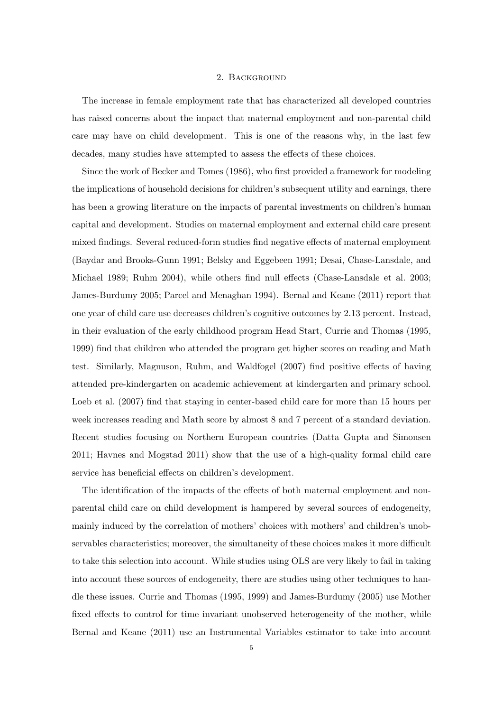## 2. Background

The increase in female employment rate that has characterized all developed countries has raised concerns about the impact that maternal employment and non-parental child care may have on child development. This is one of the reasons why, in the last few decades, many studies have attempted to assess the effects of these choices.

Since the work of Becker and Tomes (1986), who first provided a framework for modeling the implications of household decisions for children's subsequent utility and earnings, there has been a growing literature on the impacts of parental investments on children's human capital and development. Studies on maternal employment and external child care present mixed findings. Several reduced-form studies find negative effects of maternal employment (Baydar and Brooks-Gunn 1991; Belsky and Eggebeen 1991; Desai, Chase-Lansdale, and Michael 1989; Ruhm 2004), while others find null effects (Chase-Lansdale et al. 2003; James-Burdumy 2005; Parcel and Menaghan 1994). Bernal and Keane (2011) report that one year of child care use decreases children's cognitive outcomes by 2.13 percent. Instead, in their evaluation of the early childhood program Head Start, Currie and Thomas (1995, 1999) find that children who attended the program get higher scores on reading and Math test. Similarly, Magnuson, Ruhm, and Waldfogel (2007) find positive effects of having attended pre-kindergarten on academic achievement at kindergarten and primary school. Loeb et al. (2007) find that staying in center-based child care for more than 15 hours per week increases reading and Math score by almost 8 and 7 percent of a standard deviation. Recent studies focusing on Northern European countries (Datta Gupta and Simonsen 2011; Havnes and Mogstad 2011) show that the use of a high-quality formal child care service has beneficial effects on children's development.

The identification of the impacts of the effects of both maternal employment and nonparental child care on child development is hampered by several sources of endogeneity, mainly induced by the correlation of mothers' choices with mothers' and children's unobservables characteristics; moreover, the simultaneity of these choices makes it more difficult to take this selection into account. While studies using OLS are very likely to fail in taking into account these sources of endogeneity, there are studies using other techniques to handle these issues. Currie and Thomas (1995, 1999) and James-Burdumy (2005) use Mother fixed effects to control for time invariant unobserved heterogeneity of the mother, while Bernal and Keane (2011) use an Instrumental Variables estimator to take into account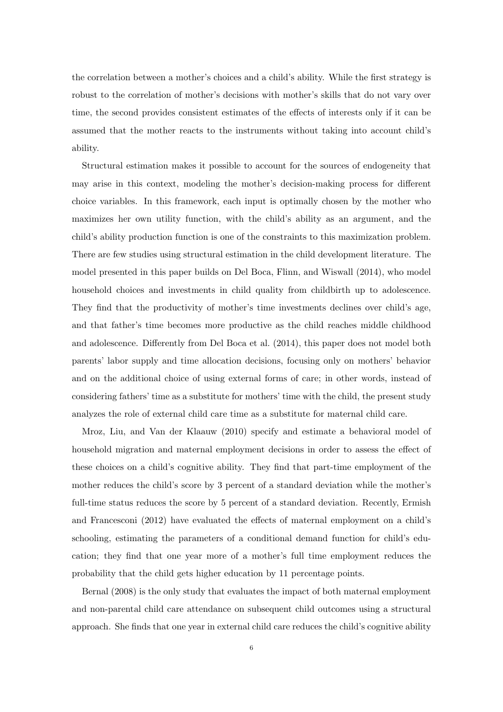the correlation between a mother's choices and a child's ability. While the first strategy is robust to the correlation of mother's decisions with mother's skills that do not vary over time, the second provides consistent estimates of the effects of interests only if it can be assumed that the mother reacts to the instruments without taking into account child's ability.

Structural estimation makes it possible to account for the sources of endogeneity that may arise in this context, modeling the mother's decision-making process for different choice variables. In this framework, each input is optimally chosen by the mother who maximizes her own utility function, with the child's ability as an argument, and the child's ability production function is one of the constraints to this maximization problem. There are few studies using structural estimation in the child development literature. The model presented in this paper builds on Del Boca, Flinn, and Wiswall (2014), who model household choices and investments in child quality from childbirth up to adolescence. They find that the productivity of mother's time investments declines over child's age, and that father's time becomes more productive as the child reaches middle childhood and adolescence. Differently from Del Boca et al. (2014), this paper does not model both parents' labor supply and time allocation decisions, focusing only on mothers' behavior and on the additional choice of using external forms of care; in other words, instead of considering fathers' time as a substitute for mothers' time with the child, the present study analyzes the role of external child care time as a substitute for maternal child care.

Mroz, Liu, and Van der Klaauw (2010) specify and estimate a behavioral model of household migration and maternal employment decisions in order to assess the effect of these choices on a child's cognitive ability. They find that part-time employment of the mother reduces the child's score by 3 percent of a standard deviation while the mother's full-time status reduces the score by 5 percent of a standard deviation. Recently, Ermish and Francesconi (2012) have evaluated the effects of maternal employment on a child's schooling, estimating the parameters of a conditional demand function for child's education; they find that one year more of a mother's full time employment reduces the probability that the child gets higher education by 11 percentage points.

Bernal (2008) is the only study that evaluates the impact of both maternal employment and non-parental child care attendance on subsequent child outcomes using a structural approach. She finds that one year in external child care reduces the child's cognitive ability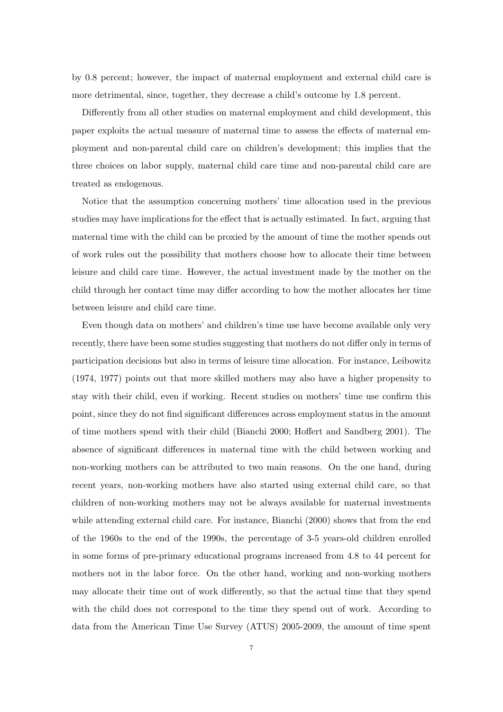by 0.8 percent; however, the impact of maternal employment and external child care is more detrimental, since, together, they decrease a child's outcome by 1.8 percent.

Differently from all other studies on maternal employment and child development, this paper exploits the actual measure of maternal time to assess the effects of maternal employment and non-parental child care on children's development; this implies that the three choices on labor supply, maternal child care time and non-parental child care are treated as endogenous.

Notice that the assumption concerning mothers' time allocation used in the previous studies may have implications for the effect that is actually estimated. In fact, arguing that maternal time with the child can be proxied by the amount of time the mother spends out of work rules out the possibility that mothers choose how to allocate their time between leisure and child care time. However, the actual investment made by the mother on the child through her contact time may differ according to how the mother allocates her time between leisure and child care time.

Even though data on mothers' and children's time use have become available only very recently, there have been some studies suggesting that mothers do not differ only in terms of participation decisions but also in terms of leisure time allocation. For instance, Leibowitz (1974, 1977) points out that more skilled mothers may also have a higher propensity to stay with their child, even if working. Recent studies on mothers' time use confirm this point, since they do not find significant differences across employment status in the amount of time mothers spend with their child (Bianchi 2000; Hoffert and Sandberg 2001). The absence of significant differences in maternal time with the child between working and non-working mothers can be attributed to two main reasons. On the one hand, during recent years, non-working mothers have also started using external child care, so that children of non-working mothers may not be always available for maternal investments while attending external child care. For instance, Bianchi (2000) shows that from the end of the 1960s to the end of the 1990s, the percentage of 3-5 years-old children enrolled in some forms of pre-primary educational programs increased from 4.8 to 44 percent for mothers not in the labor force. On the other hand, working and non-working mothers may allocate their time out of work differently, so that the actual time that they spend with the child does not correspond to the time they spend out of work. According to data from the American Time Use Survey (ATUS) 2005-2009, the amount of time spent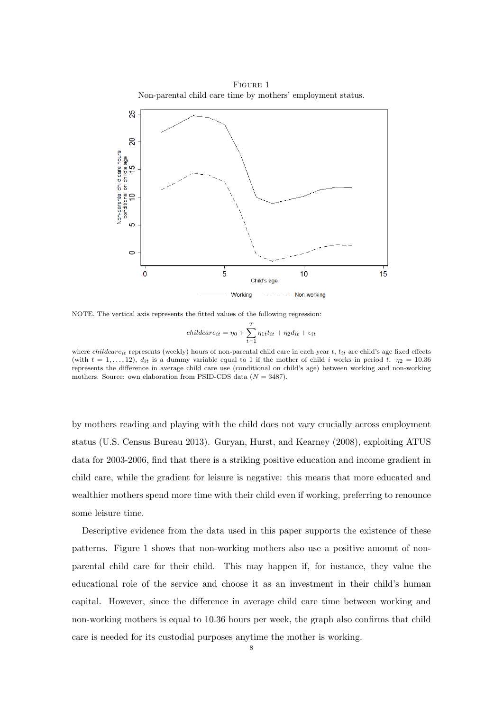Figure 1 Non-parental child care time by mothers' employment status.



NOTE. The vertical axis represents the fitted values of the following regression:

$$
children_{it} = \eta_0 + \sum_{t=1}^{T} \eta_{1t} t_{it} + \eta_2 d_{it} + \epsilon_{it}
$$

where *childcare<sub>it</sub>* represents (weekly) hours of non-parental child care in each year t,  $t_{it}$  are child's age fixed effects (with  $t = 1, \ldots, 12$ ),  $d_{it}$  is a dummy variable equal to 1 if the mother of child i works in period t.  $\eta_2 = 10.36$ represents the difference in average child care use (conditional on child's age) between working and non-working mothers. Source: own elaboration from PSID-CDS data  $(N = 3487)$ .

by mothers reading and playing with the child does not vary crucially across employment status (U.S. Census Bureau 2013). Guryan, Hurst, and Kearney (2008), exploiting ATUS data for 2003-2006, find that there is a striking positive education and income gradient in child care, while the gradient for leisure is negative: this means that more educated and wealthier mothers spend more time with their child even if working, preferring to renounce some leisure time.

Descriptive evidence from the data used in this paper supports the existence of these patterns. Figure 1 shows that non-working mothers also use a positive amount of nonparental child care for their child. This may happen if, for instance, they value the educational role of the service and choose it as an investment in their child's human capital. However, since the difference in average child care time between working and non-working mothers is equal to 10.36 hours per week, the graph also confirms that child care is needed for its custodial purposes anytime the mother is working.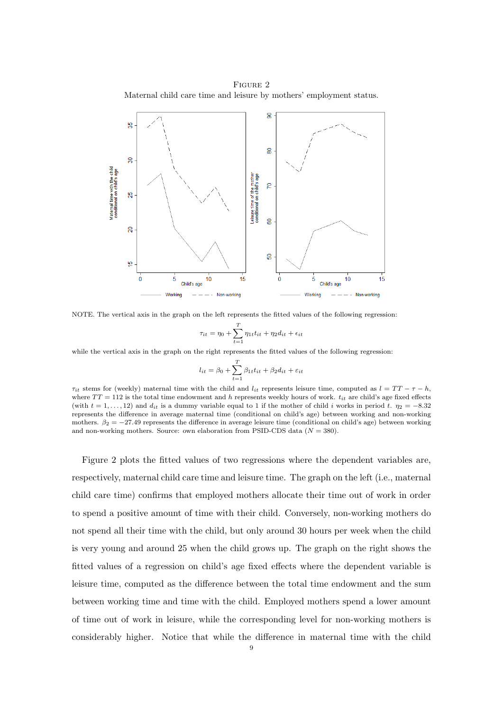Figure 2 Maternal child care time and leisure by mothers' employment status.



NOTE. The vertical axis in the graph on the left represents the fitted values of the following regression:

$$
\tau_{it} = \eta_0 + \sum_{t=1}^T \eta_{1t} t_{it} + \eta_2 d_{it} + \epsilon_{it}
$$

while the vertical axis in the graph on the right represents the fitted values of the following regression:

$$
l_{it} = \beta_0 + \sum_{t=1}^{T} \beta_{1t} t_{it} + \beta_2 d_{it} + \varepsilon_{it}
$$

 $\tau_{it}$  stems for (weekly) maternal time with the child and  $l_{it}$  represents leisure time, computed as  $l = TT - \tau - h$ , where  $TT = 112$  is the total time endowment and h represents weekly hours of work.  $t_{it}$  are child's age fixed effects (with  $t = 1, \ldots, 12$ ) and  $d_{it}$  is a dummy variable equal to 1 if the mother of child i works in period t.  $\eta_2 = -8.32$ represents the difference in average maternal time (conditional on child's age) between working and non-working mothers.  $\beta_2 = -27.49$  represents the difference in average leisure time (conditional on child's age) between working and non-working mothers. Source: own elaboration from PSID-CDS data  $(N = 380)$ .

Figure 2 plots the fitted values of two regressions where the dependent variables are, respectively, maternal child care time and leisure time. The graph on the left (i.e., maternal child care time) confirms that employed mothers allocate their time out of work in order to spend a positive amount of time with their child. Conversely, non-working mothers do not spend all their time with the child, but only around 30 hours per week when the child is very young and around 25 when the child grows up. The graph on the right shows the fitted values of a regression on child's age fixed effects where the dependent variable is leisure time, computed as the difference between the total time endowment and the sum between working time and time with the child. Employed mothers spend a lower amount of time out of work in leisure, while the corresponding level for non-working mothers is considerably higher. Notice that while the difference in maternal time with the child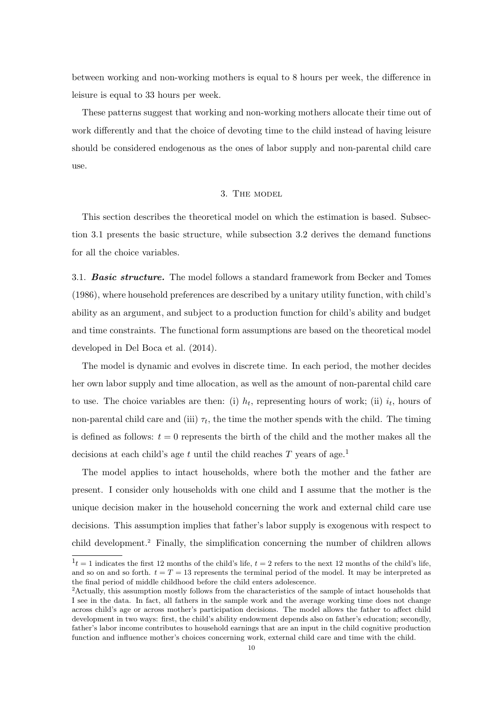between working and non-working mothers is equal to 8 hours per week, the difference in leisure is equal to 33 hours per week.

These patterns suggest that working and non-working mothers allocate their time out of work differently and that the choice of devoting time to the child instead of having leisure should be considered endogenous as the ones of labor supply and non-parental child care use.

#### 3. The model

This section describes the theoretical model on which the estimation is based. Subsection 3.1 presents the basic structure, while subsection 3.2 derives the demand functions for all the choice variables.

3.1. **Basic structure.** The model follows a standard framework from Becker and Tomes (1986), where household preferences are described by a unitary utility function, with child's ability as an argument, and subject to a production function for child's ability and budget and time constraints. The functional form assumptions are based on the theoretical model developed in Del Boca et al. (2014).

The model is dynamic and evolves in discrete time. In each period, the mother decides her own labor supply and time allocation, as well as the amount of non-parental child care to use. The choice variables are then: (i)  $h_t$ , representing hours of work; (ii)  $i_t$ , hours of non-parental child care and (iii)  $\tau_t$ , the time the mother spends with the child. The timing is defined as follows:  $t = 0$  represents the birth of the child and the mother makes all the decisions at each child's age t until the child reaches  $T$  years of age.<sup>1</sup>

The model applies to intact households, where both the mother and the father are present. I consider only households with one child and I assume that the mother is the unique decision maker in the household concerning the work and external child care use decisions. This assumption implies that father's labor supply is exogenous with respect to child development.<sup>2</sup> Finally, the simplification concerning the number of children allows

 $1<sup>t</sup> = 1$  indicates the first 12 months of the child's life,  $t = 2$  refers to the next 12 months of the child's life, and so on and so forth.  $t = T = 13$  represents the terminal period of the model. It may be interpreted as the final period of middle childhood before the child enters adolescence.

<sup>2</sup>Actually, this assumption mostly follows from the characteristics of the sample of intact households that I see in the data. In fact, all fathers in the sample work and the average working time does not change across child's age or across mother's participation decisions. The model allows the father to affect child development in two ways: first, the child's ability endowment depends also on father's education; secondly, father's labor income contributes to household earnings that are an input in the child cognitive production function and influence mother's choices concerning work, external child care and time with the child.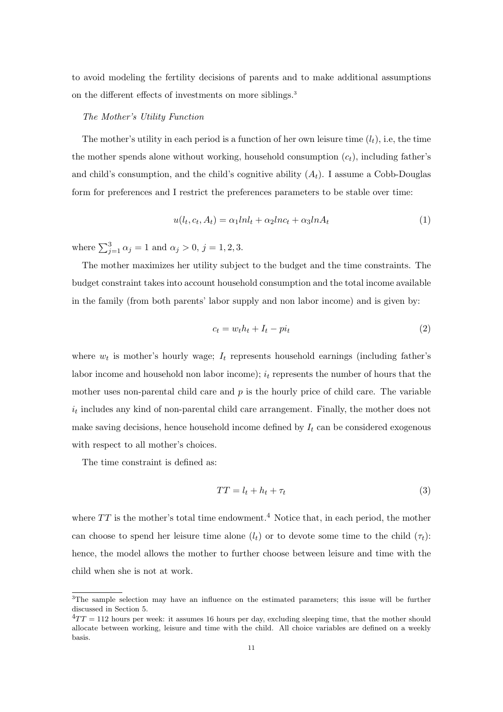to avoid modeling the fertility decisions of parents and to make additional assumptions on the different effects of investments on more siblings.<sup>3</sup>

## The Mother's Utility Function

The mother's utility in each period is a function of her own leisure time  $(l_t)$ , i.e, the time the mother spends alone without working, household consumption  $(c_t)$ , including father's and child's consumption, and the child's cognitive ability  $(A_t)$ . I assume a Cobb-Douglas form for preferences and I restrict the preferences parameters to be stable over time:

$$
u(l_t, c_t, A_t) = \alpha_1 lnl_t + \alpha_2 lnc_t + \alpha_3 l n A_t \tag{1}
$$

where  $\sum_{j=1}^{3} \alpha_j = 1$  and  $\alpha_j > 0$ ,  $j = 1, 2, 3$ .

The mother maximizes her utility subject to the budget and the time constraints. The budget constraint takes into account household consumption and the total income available in the family (from both parents' labor supply and non labor income) and is given by:

$$
c_t = w_t h_t + I_t - p i_t \tag{2}
$$

where  $w_t$  is mother's hourly wage;  $I_t$  represents household earnings (including father's labor income and household non labor income);  $i_t$  represents the number of hours that the mother uses non-parental child care and  $p$  is the hourly price of child care. The variable  $i_t$  includes any kind of non-parental child care arrangement. Finally, the mother does not make saving decisions, hence household income defined by  $I_t$  can be considered exogenous with respect to all mother's choices.

The time constraint is defined as:

$$
TT = l_t + h_t + \tau_t \tag{3}
$$

where  $TT$  is the mother's total time endowment.<sup>4</sup> Notice that, in each period, the mother can choose to spend her leisure time alone  $(l_t)$  or to devote some time to the child  $(\tau_t)$ : hence, the model allows the mother to further choose between leisure and time with the child when she is not at work.

<sup>&</sup>lt;sup>3</sup>The sample selection may have an influence on the estimated parameters; this issue will be further discussed in Section 5.

 $^{4}TT = 112$  hours per week: it assumes 16 hours per day, excluding sleeping time, that the mother should allocate between working, leisure and time with the child. All choice variables are defined on a weekly basis.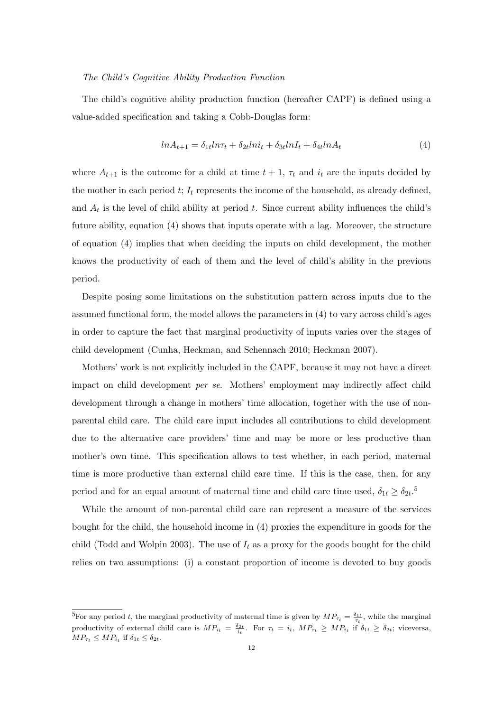## The Child's Cognitive Ability Production Function

The child's cognitive ability production function (hereafter CAPF) is defined using a value-added specification and taking a Cobb-Douglas form:

$$
ln A_{t+1} = \delta_{1t} ln \tau_t + \delta_{2t} ln i_t + \delta_{3t} ln I_t + \delta_{4t} ln A_t \tag{4}
$$

where  $A_{t+1}$  is the outcome for a child at time  $t + 1$ ,  $\tau_t$  and  $i_t$  are the inputs decided by the mother in each period  $t$ ;  $I_t$  represents the income of the household, as already defined, and  $A_t$  is the level of child ability at period t. Since current ability influences the child's future ability, equation (4) shows that inputs operate with a lag. Moreover, the structure of equation (4) implies that when deciding the inputs on child development, the mother knows the productivity of each of them and the level of child's ability in the previous period.

Despite posing some limitations on the substitution pattern across inputs due to the assumed functional form, the model allows the parameters in (4) to vary across child's ages in order to capture the fact that marginal productivity of inputs varies over the stages of child development (Cunha, Heckman, and Schennach 2010; Heckman 2007).

Mothers' work is not explicitly included in the CAPF, because it may not have a direct impact on child development per se. Mothers' employment may indirectly affect child development through a change in mothers' time allocation, together with the use of nonparental child care. The child care input includes all contributions to child development due to the alternative care providers' time and may be more or less productive than mother's own time. This specification allows to test whether, in each period, maternal time is more productive than external child care time. If this is the case, then, for any period and for an equal amount of maternal time and child care time used,  $\delta_{1t} \geq \delta_{2t}$ .<sup>5</sup>

While the amount of non-parental child care can represent a measure of the services bought for the child, the household income in (4) proxies the expenditure in goods for the child (Todd and Wolpin 2003). The use of  $I_t$  as a proxy for the goods bought for the child relies on two assumptions: (i) a constant proportion of income is devoted to buy goods

<sup>&</sup>lt;sup>5</sup>For any period t, the marginal productivity of maternal time is given by  $MP_{\tau_t} = \frac{\delta_{1t}}{\tau_t}$ , while the marginal productivity of external child care is  $MP_{i_t} = \frac{\delta_{2t}}{i_t}$ . For  $\tau_t = i_t$ ,  $MP_{\tau_t} \ge MP_{i_t}$  if  $\delta_{1t} \ge \delta_{2t}$ ; viceversa,  $MP_{\tau_t} \leq MP_{i_t}$  if  $\delta_{1t} \leq \delta_{2t}$ .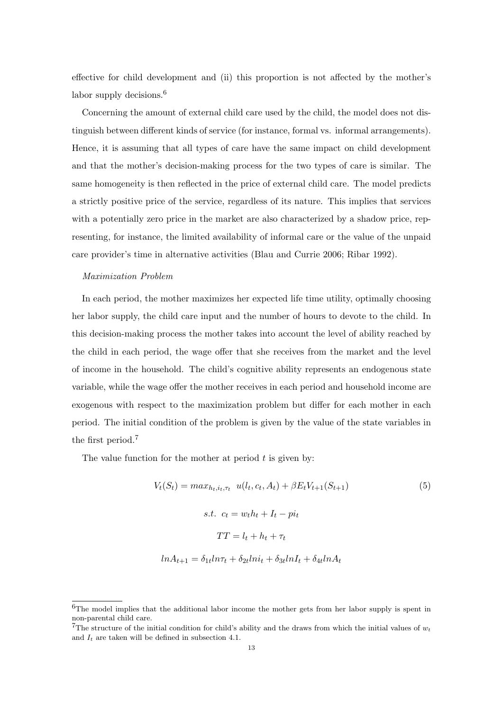effective for child development and (ii) this proportion is not affected by the mother's labor supply decisions.<sup>6</sup>

Concerning the amount of external child care used by the child, the model does not distinguish between different kinds of service (for instance, formal vs. informal arrangements). Hence, it is assuming that all types of care have the same impact on child development and that the mother's decision-making process for the two types of care is similar. The same homogeneity is then reflected in the price of external child care. The model predicts a strictly positive price of the service, regardless of its nature. This implies that services with a potentially zero price in the market are also characterized by a shadow price, representing, for instance, the limited availability of informal care or the value of the unpaid care provider's time in alternative activities (Blau and Currie 2006; Ribar 1992).

## Maximization Problem

In each period, the mother maximizes her expected life time utility, optimally choosing her labor supply, the child care input and the number of hours to devote to the child. In this decision-making process the mother takes into account the level of ability reached by the child in each period, the wage offer that she receives from the market and the level of income in the household. The child's cognitive ability represents an endogenous state variable, while the wage offer the mother receives in each period and household income are exogenous with respect to the maximization problem but differ for each mother in each period. The initial condition of the problem is given by the value of the state variables in the first period.<sup>7</sup>

The value function for the mother at period  $t$  is given by:

$$
V_t(S_t) = max_{h_t, i_t, \tau_t} u(l_t, c_t, A_t) + \beta E_t V_{t+1}(S_{t+1})
$$
\n
$$
s.t. \ c_t = w_t h_t + I_t - pi_t
$$
\n
$$
TT = l_t + h_t + \tau_t
$$
\n
$$
ln A_{t+1} = \delta_{1t} ln \tau_t + \delta_{2t} ln i_t + \delta_{3t} ln I_t + \delta_{4t} ln A_t
$$
\n
$$
(5)
$$

<sup>&</sup>lt;sup>6</sup>The model implies that the additional labor income the mother gets from her labor supply is spent in non-parental child care.

<sup>&</sup>lt;sup>7</sup>The structure of the initial condition for child's ability and the draws from which the initial values of  $w_t$ and  $I_t$  are taken will be defined in subsection 4.1.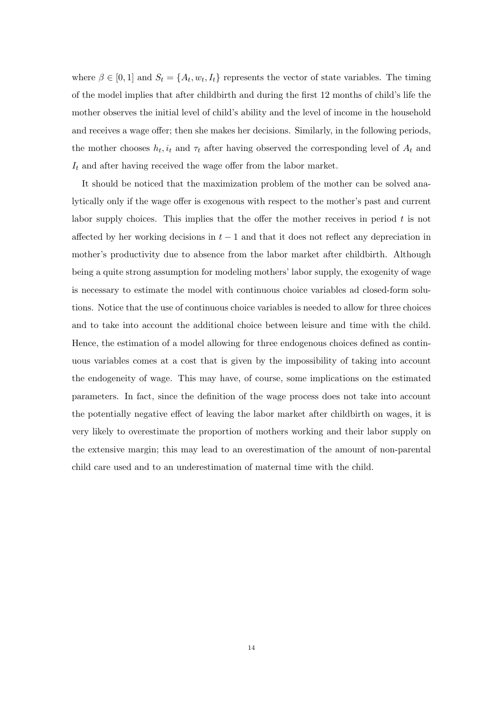where  $\beta \in [0,1]$  and  $S_t = \{A_t, w_t, I_t\}$  represents the vector of state variables. The timing of the model implies that after childbirth and during the first 12 months of child's life the mother observes the initial level of child's ability and the level of income in the household and receives a wage offer; then she makes her decisions. Similarly, in the following periods, the mother chooses  $h_t$ ,  $i_t$  and  $\tau_t$  after having observed the corresponding level of  $A_t$  and  $I_t$  and after having received the wage offer from the labor market.

It should be noticed that the maximization problem of the mother can be solved analytically only if the wage offer is exogenous with respect to the mother's past and current labor supply choices. This implies that the offer the mother receives in period  $t$  is not affected by her working decisions in  $t-1$  and that it does not reflect any depreciation in mother's productivity due to absence from the labor market after childbirth. Although being a quite strong assumption for modeling mothers' labor supply, the exogenity of wage is necessary to estimate the model with continuous choice variables ad closed-form solutions. Notice that the use of continuous choice variables is needed to allow for three choices and to take into account the additional choice between leisure and time with the child. Hence, the estimation of a model allowing for three endogenous choices defined as continuous variables comes at a cost that is given by the impossibility of taking into account the endogeneity of wage. This may have, of course, some implications on the estimated parameters. In fact, since the definition of the wage process does not take into account the potentially negative effect of leaving the labor market after childbirth on wages, it is very likely to overestimate the proportion of mothers working and their labor supply on the extensive margin; this may lead to an overestimation of the amount of non-parental child care used and to an underestimation of maternal time with the child.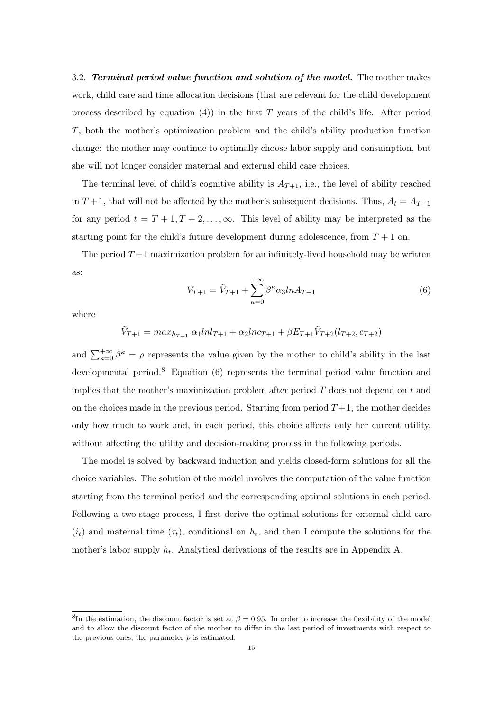3.2. Terminal period value function and solution of the model. The mother makes work, child care and time allocation decisions (that are relevant for the child development process described by equation  $(4)$ ) in the first T years of the child's life. After period T, both the mother's optimization problem and the child's ability production function change: the mother may continue to optimally choose labor supply and consumption, but she will not longer consider maternal and external child care choices.

The terminal level of child's cognitive ability is  $A_{T+1}$ , i.e., the level of ability reached in  $T+1$ , that will not be affected by the mother's subsequent decisions. Thus,  $A_t = A_{T+1}$ for any period  $t = T + 1, T + 2, ..., \infty$ . This level of ability may be interpreted as the starting point for the child's future development during adolescence, from  $T + 1$  on.

The period  $T+1$  maximization problem for an infinitely-lived household may be written as:

$$
V_{T+1} = \tilde{V}_{T+1} + \sum_{\kappa=0}^{+\infty} \beta^{\kappa} \alpha_3 ln A_{T+1}
$$
 (6)

where

 $\tilde{V}_{T+1} = max_{h_{T+1}} \alpha_1 ln l_{T+1} + \alpha_2 ln c_{T+1} + \beta E_{T+1} \tilde{V}_{T+2}(l_{T+2}, c_{T+2})$ 

and  $\sum_{\kappa=0}^{+\infty} \beta^{\kappa} = \rho$  represents the value given by the mother to child's ability in the last developmental period.<sup>8</sup> Equation (6) represents the terminal period value function and implies that the mother's maximization problem after period  $T$  does not depend on  $t$  and on the choices made in the previous period. Starting from period  $T+1$ , the mother decides only how much to work and, in each period, this choice affects only her current utility, without affecting the utility and decision-making process in the following periods.

The model is solved by backward induction and yields closed-form solutions for all the choice variables. The solution of the model involves the computation of the value function starting from the terminal period and the corresponding optimal solutions in each period. Following a two-stage process, I first derive the optimal solutions for external child care  $(i_t)$  and maternal time  $(\tau_t)$ , conditional on  $h_t$ , and then I compute the solutions for the mother's labor supply  $h_t$ . Analytical derivations of the results are in Appendix A.

<sup>&</sup>lt;sup>8</sup>In the estimation, the discount factor is set at  $\beta = 0.95$ . In order to increase the flexibility of the model and to allow the discount factor of the mother to differ in the last period of investments with respect to the previous ones, the parameter  $\rho$  is estimated.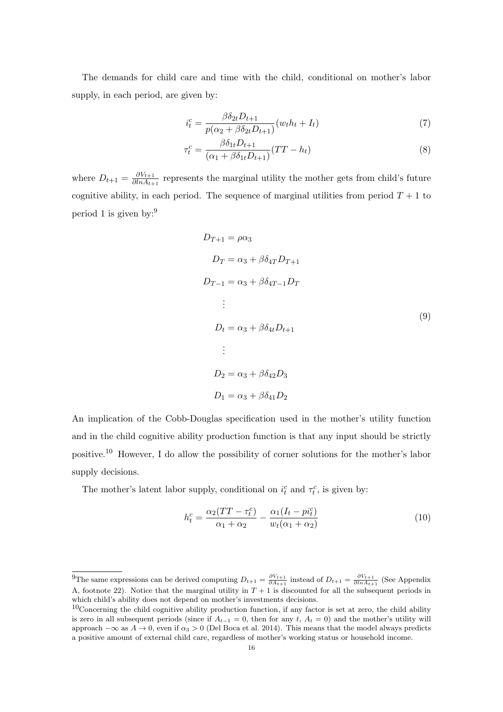The demands for child care and time with the child, conditional on mother's labor supply, in each period, are given by:

$$
i_t^c = \frac{\beta \delta_{2t} D_{t+1}}{p(\alpha_2 + \beta \delta_{2t} D_{t+1})} (w_t h_t + I_t)
$$
\n
$$
\tag{7}
$$

$$
\tau_t^c = \frac{\beta \delta_{1t} D_{t+1}}{(\alpha_1 + \beta \delta_{1t} D_{t+1})} (TT - h_t)
$$
\n(8)

where  $D_{t+1} = \frac{\partial V_{t+1}}{\partial \ln A_{t+1}}$  $\frac{\partial V_{t+1}}{\partial \ln A_{t+1}}$  represents the marginal utility the mother gets from child's future cognitive ability, in each period. The sequence of marginal utilities from period  $T + 1$  to period 1 is given by:<sup>9</sup>

$$
D_{T+1} = \rho \alpha_3
$$
  
\n
$$
D_T = \alpha_3 + \beta \delta_{4T} D_{T+1}
$$
  
\n
$$
D_{T-1} = \alpha_3 + \beta \delta_{4T-1} D_T
$$
  
\n:  
\n
$$
D_t = \alpha_3 + \beta \delta_{4t} D_{t+1}
$$
  
\n:  
\n
$$
D_2 = \alpha_3 + \beta \delta_{42} D_3
$$
  
\n
$$
D_1 = \alpha_3 + \beta \delta_{41} D_2
$$
 (9)

An implication of the Cobb-Douglas specification used in the mother's utility function and in the child cognitive ability production function is that any input should be strictly positive.<sup>10</sup> However, I do allow the possibility of corner solutions for the mother's labor supply decisions.

The mother's latent labor supply, conditional on  $i_t^c$  and  $\tau_t^c$ , is given by:

$$
h_t^c = \frac{\alpha_2(TT - \tau_t^c)}{\alpha_1 + \alpha_2} - \frac{\alpha_1(I_t - pi_t^c)}{w_t(\alpha_1 + \alpha_2)}
$$
(10)

<sup>&</sup>lt;sup>9</sup>The same expressions can be derived computing  $D_{t+1} = \frac{\partial V_{t+1}}{\partial A_{t+1}}$  instead of  $D_{t+1} = \frac{\partial V_{t+1}}{\partial In_{t+1}}$  (See Appendix A, footnote 22). Notice that the marginal utility in  $T + 1$  is discounted for all the subsequent periods in which child's ability does not depend on mother's investments decisions.

 $10$ Concerning the child cognitive ability production function, if any factor is set at zero, the child ability is zero in all subsequent periods (since if  $A_{t-1} = 0$ , then for any t,  $A_t = 0$ ) and the mother's utility will approach  $-\infty$  as  $A \to 0$ , even if  $\alpha_3 > 0$  (Del Boca et al. 2014). This means that the model always predicts a positive amount of external child care, regardless of mother's working status or household income.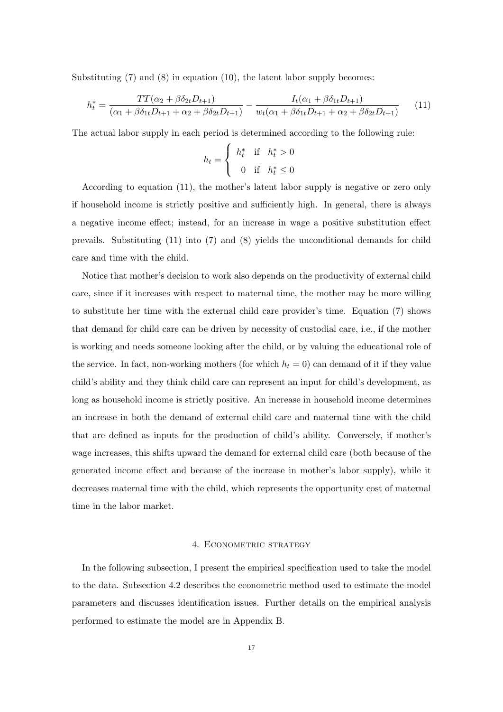Substituting  $(7)$  and  $(8)$  in equation  $(10)$ , the latent labor supply becomes:

$$
h_t^* = \frac{TT(\alpha_2 + \beta \delta_{2t} D_{t+1})}{(\alpha_1 + \beta \delta_{1t} D_{t+1} + \alpha_2 + \beta \delta_{2t} D_{t+1})} - \frac{I_t(\alpha_1 + \beta \delta_{1t} D_{t+1})}{w_t(\alpha_1 + \beta \delta_{1t} D_{t+1} + \alpha_2 + \beta \delta_{2t} D_{t+1})}
$$
(11)

The actual labor supply in each period is determined according to the following rule:

$$
h_t = \begin{cases} h_t^* & \text{if } h_t^* > 0 \\ 0 & \text{if } h_t^* \le 0 \end{cases}
$$

According to equation (11), the mother's latent labor supply is negative or zero only if household income is strictly positive and sufficiently high. In general, there is always a negative income effect; instead, for an increase in wage a positive substitution effect prevails. Substituting (11) into (7) and (8) yields the unconditional demands for child care and time with the child.

Notice that mother's decision to work also depends on the productivity of external child care, since if it increases with respect to maternal time, the mother may be more willing to substitute her time with the external child care provider's time. Equation (7) shows that demand for child care can be driven by necessity of custodial care, i.e., if the mother is working and needs someone looking after the child, or by valuing the educational role of the service. In fact, non-working mothers (for which  $h_t = 0$ ) can demand of it if they value child's ability and they think child care can represent an input for child's development, as long as household income is strictly positive. An increase in household income determines an increase in both the demand of external child care and maternal time with the child that are defined as inputs for the production of child's ability. Conversely, if mother's wage increases, this shifts upward the demand for external child care (both because of the generated income effect and because of the increase in mother's labor supply), while it decreases maternal time with the child, which represents the opportunity cost of maternal time in the labor market.

## 4. ECONOMETRIC STRATEGY

In the following subsection, I present the empirical specification used to take the model to the data. Subsection 4.2 describes the econometric method used to estimate the model parameters and discusses identification issues. Further details on the empirical analysis performed to estimate the model are in Appendix B.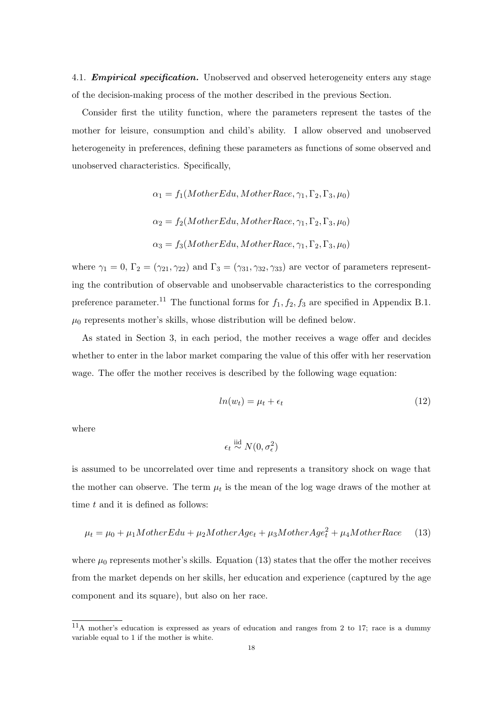4.1. **Empirical specification.** Unobserved and observed heterogeneity enters any stage of the decision-making process of the mother described in the previous Section.

Consider first the utility function, where the parameters represent the tastes of the mother for leisure, consumption and child's ability. I allow observed and unobserved heterogeneity in preferences, defining these parameters as functions of some observed and unobserved characteristics. Specifically,

$$
\alpha_1 = f_1(MotherEdu, MotherRace, \gamma_1, \Gamma_2, \Gamma_3, \mu_0)
$$

$$
\alpha_2 = f_2(MotherEdu, MotherRace, \gamma_1, \Gamma_2, \Gamma_3, \mu_0)
$$

$$
\alpha_3 = f_3(MotherEdu, MotherRace, \gamma_1, \Gamma_2, \Gamma_3, \mu_0)
$$

where  $\gamma_1 = 0$ ,  $\Gamma_2 = (\gamma_{21}, \gamma_{22})$  and  $\Gamma_3 = (\gamma_{31}, \gamma_{32}, \gamma_{33})$  are vector of parameters representing the contribution of observable and unobservable characteristics to the corresponding preference parameter.<sup>11</sup> The functional forms for  $f_1, f_2, f_3$  are specified in Appendix B.1.  $\mu_0$  represents mother's skills, whose distribution will be defined below.

As stated in Section 3, in each period, the mother receives a wage offer and decides whether to enter in the labor market comparing the value of this offer with her reservation wage. The offer the mother receives is described by the following wage equation:

$$
ln(w_t) = \mu_t + \epsilon_t \tag{12}
$$

where

$$
\epsilon_t \stackrel{\text{iid}}{\sim} N(0, \sigma_{\epsilon}^2)
$$

is assumed to be uncorrelated over time and represents a transitory shock on wage that the mother can observe. The term  $\mu_t$  is the mean of the log wage draws of the mother at time  $t$  and it is defined as follows:

$$
\mu_t = \mu_0 + \mu_1 MotherE du + \mu_2 MotherAge_t + \mu_3 MotherAge_t^2 + \mu_4 MotherRace \qquad (13)
$$

where  $\mu_0$  represents mother's skills. Equation (13) states that the offer the mother receives from the market depends on her skills, her education and experience (captured by the age component and its square), but also on her race.

<sup>11</sup>A mother's education is expressed as years of education and ranges from 2 to 17; race is a dummy variable equal to 1 if the mother is white.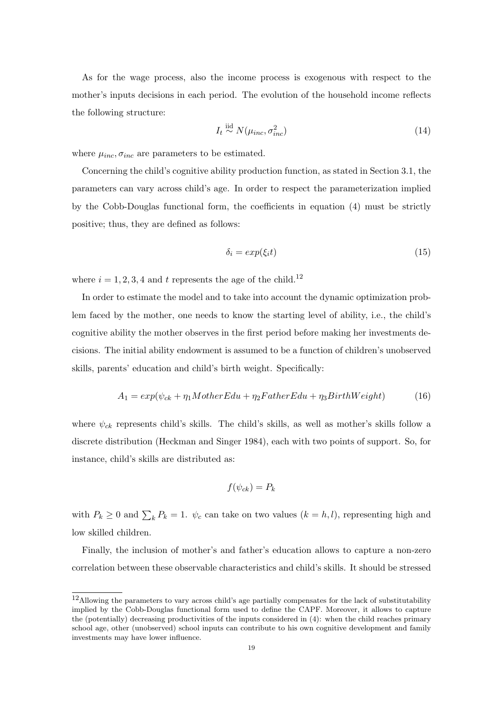As for the wage process, also the income process is exogenous with respect to the mother's inputs decisions in each period. The evolution of the household income reflects the following structure:

$$
I_t \stackrel{\text{iid}}{\sim} N(\mu_{inc}, \sigma_{inc}^2) \tag{14}
$$

where  $\mu_{inc}, \sigma_{inc}$  are parameters to be estimated.

Concerning the child's cognitive ability production function, as stated in Section 3.1, the parameters can vary across child's age. In order to respect the parameterization implied by the Cobb-Douglas functional form, the coefficients in equation (4) must be strictly positive; thus, they are defined as follows:

$$
\delta_i = exp(\xi_i t) \tag{15}
$$

where  $i = 1, 2, 3, 4$  and t represents the age of the child.<sup>12</sup>

In order to estimate the model and to take into account the dynamic optimization problem faced by the mother, one needs to know the starting level of ability, i.e., the child's cognitive ability the mother observes in the first period before making her investments decisions. The initial ability endowment is assumed to be a function of children's unobserved skills, parents' education and child's birth weight. Specifically:

$$
A_1 = exp(\psi_{ck} + \eta_1 MotherEdu + \eta_2 FatherEdu + \eta_3 BirthWeight)
$$
 (16)

where  $\psi_{ck}$  represents child's skills. The child's skills, as well as mother's skills follow a discrete distribution (Heckman and Singer 1984), each with two points of support. So, for instance, child's skills are distributed as:

$$
f(\psi_{ck})=P_k
$$

with  $P_k \geq 0$  and  $\sum_k P_k = 1$ .  $\psi_c$  can take on two values  $(k = h, l)$ , representing high and low skilled children.

Finally, the inclusion of mother's and father's education allows to capture a non-zero correlation between these observable characteristics and child's skills. It should be stressed

<sup>12</sup>Allowing the parameters to vary across child's age partially compensates for the lack of substitutability implied by the Cobb-Douglas functional form used to define the CAPF. Moreover, it allows to capture the (potentially) decreasing productivities of the inputs considered in (4): when the child reaches primary school age, other (unobserved) school inputs can contribute to his own cognitive development and family investments may have lower influence.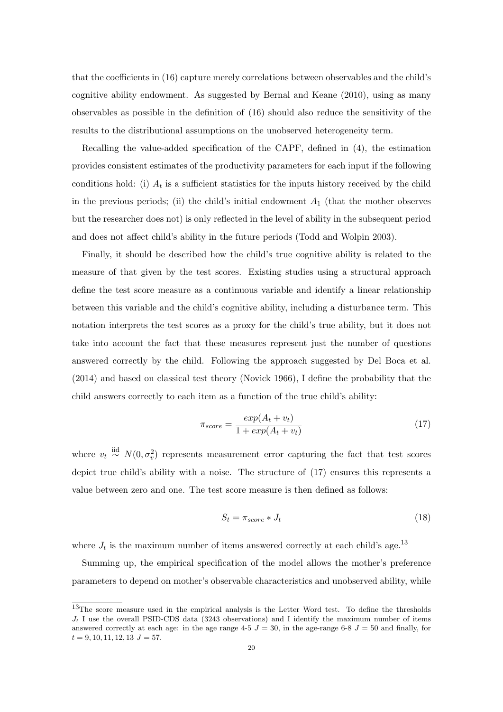that the coefficients in (16) capture merely correlations between observables and the child's cognitive ability endowment. As suggested by Bernal and Keane (2010), using as many observables as possible in the definition of (16) should also reduce the sensitivity of the results to the distributional assumptions on the unobserved heterogeneity term.

Recalling the value-added specification of the CAPF, defined in (4), the estimation provides consistent estimates of the productivity parameters for each input if the following conditions hold: (i)  $A_t$  is a sufficient statistics for the inputs history received by the child in the previous periods; (ii) the child's initial endowment  $A_1$  (that the mother observes but the researcher does not) is only reflected in the level of ability in the subsequent period and does not affect child's ability in the future periods (Todd and Wolpin 2003).

Finally, it should be described how the child's true cognitive ability is related to the measure of that given by the test scores. Existing studies using a structural approach define the test score measure as a continuous variable and identify a linear relationship between this variable and the child's cognitive ability, including a disturbance term. This notation interprets the test scores as a proxy for the child's true ability, but it does not take into account the fact that these measures represent just the number of questions answered correctly by the child. Following the approach suggested by Del Boca et al. (2014) and based on classical test theory (Novick 1966), I define the probability that the child answers correctly to each item as a function of the true child's ability:

$$
\pi_{score} = \frac{exp(A_t + v_t)}{1 + exp(A_t + v_t)}
$$
\n(17)

where  $v_t \stackrel{\text{iid}}{\sim} N(0, \sigma_v^2)$  represents measurement error capturing the fact that test scores depict true child's ability with a noise. The structure of (17) ensures this represents a value between zero and one. The test score measure is then defined as follows:

$$
S_t = \pi_{score} * J_t \tag{18}
$$

where  $J_t$  is the maximum number of items answered correctly at each child's age.<sup>13</sup>

Summing up, the empirical specification of the model allows the mother's preference parameters to depend on mother's observable characteristics and unobserved ability, while

<sup>&</sup>lt;sup>13</sup>The score measure used in the empirical analysis is the Letter Word test. To define the thresholds  $J_t$  I use the overall PSID-CDS data (3243 observations) and I identify the maximum number of items answered correctly at each age: in the age range  $4-5$  J = 30, in the age-range 6-8 J = 50 and finally, for  $t = 9, 10, 11, 12, 13$   $J = 57.$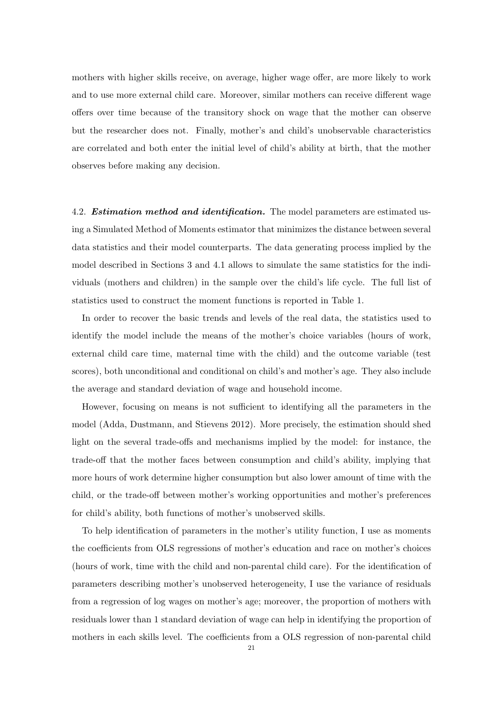mothers with higher skills receive, on average, higher wage offer, are more likely to work and to use more external child care. Moreover, similar mothers can receive different wage offers over time because of the transitory shock on wage that the mother can observe but the researcher does not. Finally, mother's and child's unobservable characteristics are correlated and both enter the initial level of child's ability at birth, that the mother observes before making any decision.

4.2. **Estimation method and identification.** The model parameters are estimated using a Simulated Method of Moments estimator that minimizes the distance between several data statistics and their model counterparts. The data generating process implied by the model described in Sections 3 and 4.1 allows to simulate the same statistics for the individuals (mothers and children) in the sample over the child's life cycle. The full list of statistics used to construct the moment functions is reported in Table 1.

In order to recover the basic trends and levels of the real data, the statistics used to identify the model include the means of the mother's choice variables (hours of work, external child care time, maternal time with the child) and the outcome variable (test scores), both unconditional and conditional on child's and mother's age. They also include the average and standard deviation of wage and household income.

However, focusing on means is not sufficient to identifying all the parameters in the model (Adda, Dustmann, and Stievens 2012). More precisely, the estimation should shed light on the several trade-offs and mechanisms implied by the model: for instance, the trade-off that the mother faces between consumption and child's ability, implying that more hours of work determine higher consumption but also lower amount of time with the child, or the trade-off between mother's working opportunities and mother's preferences for child's ability, both functions of mother's unobserved skills.

To help identification of parameters in the mother's utility function, I use as moments the coefficients from OLS regressions of mother's education and race on mother's choices (hours of work, time with the child and non-parental child care). For the identification of parameters describing mother's unobserved heterogeneity, I use the variance of residuals from a regression of log wages on mother's age; moreover, the proportion of mothers with residuals lower than 1 standard deviation of wage can help in identifying the proportion of mothers in each skills level. The coefficients from a OLS regression of non-parental child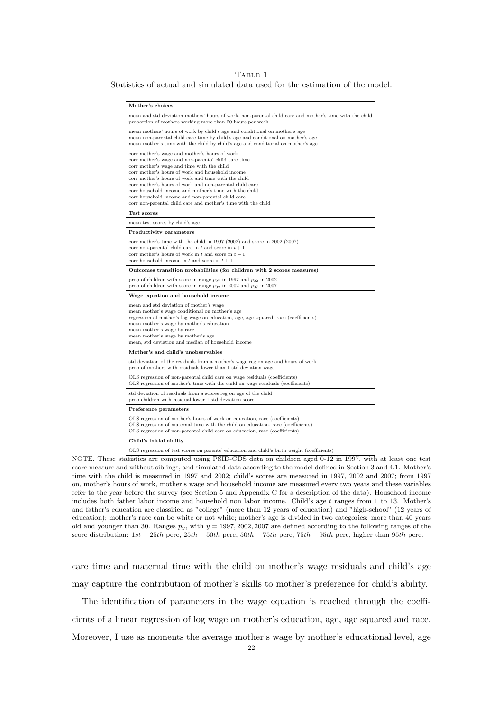#### TABLE 1

Statistics of actual and simulated data used for the estimation of the model.

| Mother's choices                                                                                                                                                                                                                                                                                                                                                                                                                                                                                         |
|----------------------------------------------------------------------------------------------------------------------------------------------------------------------------------------------------------------------------------------------------------------------------------------------------------------------------------------------------------------------------------------------------------------------------------------------------------------------------------------------------------|
| mean and std deviation mothers' hours of work, non-parental child care and mother's time with the child<br>proportion of mothers working more than 20 hours per week                                                                                                                                                                                                                                                                                                                                     |
| mean mothers' hours of work by child's age and conditional on mother's age<br>mean non-parental child care time by child's age and conditional on mother's age<br>mean mother's time with the child by child's age and conditional on mother's age                                                                                                                                                                                                                                                       |
| corr mother's wage and mother's hours of work<br>corr mother's wage and non-parental child care time<br>corr mother's wage and time with the child<br>corr mother's hours of work and household income<br>corr mother's hours of work and time with the child<br>corr mother's hours of work and non-parental child care<br>corr household income and mother's time with the child<br>corr household income and non-parental child care<br>corr non-parental child care and mother's time with the child |
| Test scores                                                                                                                                                                                                                                                                                                                                                                                                                                                                                              |
| mean test scores by child's age                                                                                                                                                                                                                                                                                                                                                                                                                                                                          |
| Productivity parameters                                                                                                                                                                                                                                                                                                                                                                                                                                                                                  |
| corr mother's time with the child in 1997 (2002) and score in 2002 (2007)<br>corr non-parental child care in t and score in $t + 1$<br>corr mother's hours of work in t and score in $t+1$<br>corr household income in t and score in $t + 1$                                                                                                                                                                                                                                                            |
| Outcomes transition probabilities (for children with 2 scores measures)                                                                                                                                                                                                                                                                                                                                                                                                                                  |
| prop of children with score in range $p_{97}$ in 1997 and $p_{02}$ in 2002<br>prop of children with score in range $p_{02}$ in 2002 and $p_{07}$ in 2007                                                                                                                                                                                                                                                                                                                                                 |
| Wage equation and household income                                                                                                                                                                                                                                                                                                                                                                                                                                                                       |
| mean and std deviation of mother's wage<br>mean mother's wage conditional on mother's age<br>regression of mother's log wage on education, age, age squared, race (coefficients)<br>mean mother's wage by mother's education<br>mean mother's wage by race<br>mean mother's wage by mother's age<br>mean, std deviation and median of household income                                                                                                                                                   |
| Mother's and child's unobservables                                                                                                                                                                                                                                                                                                                                                                                                                                                                       |
| std deviation of the residuals from a mother's wage reg on age and hours of work<br>prop of mothers with residuals lower than 1 std deviation wage                                                                                                                                                                                                                                                                                                                                                       |
| OLS regression of non-parental child care on wage residuals (coefficients)<br>OLS regression of mother's time with the child on wage residuals (coefficients)                                                                                                                                                                                                                                                                                                                                            |
| std deviation of residuals from a scores reg on age of the child<br>prop children with residual lower 1 std deviation score                                                                                                                                                                                                                                                                                                                                                                              |
| Preference parameters                                                                                                                                                                                                                                                                                                                                                                                                                                                                                    |
| OLS regression of mother's hours of work on education, race (coefficients)<br>OLS regression of maternal time with the child on education, race (coefficients)<br>OLS regression of non-parental child care on education, race (coefficients)                                                                                                                                                                                                                                                            |
| Child's initial ability                                                                                                                                                                                                                                                                                                                                                                                                                                                                                  |
|                                                                                                                                                                                                                                                                                                                                                                                                                                                                                                          |

OLS regression of test scores on parents' education and child's birth weight (coefficients)

NOTE. These statistics are computed using PSID-CDS data on children aged 0-12 in 1997, with at least one test score measure and without siblings, and simulated data according to the model defined in Section 3 and 4.1. Mother's time with the child is measured in 1997 and 2002; child's scores are measured in 1997, 2002 and 2007; from 1997 on, mother's hours of work, mother's wage and household income are measured every two years and these variables refer to the year before the survey (see Section 5 and Appendix C for a description of the data). Household income includes both father labor income and household non labor income. Child's age t ranges from 1 to 13. Mother's and father's education are classified as "college" (more than 12 years of education) and "high-school" (12 years of education); mother's race can be white or not white; mother's age is divided in two categories: more than 40 years old and younger than 30. Ranges  $p_y$ , with  $y = 1997, 2002, 2007$  are defined according to the following ranges of the score distribution:  $1st - 25th$  perc,  $25th - 50th$  perc,  $50th - 75th$  perc,  $75th - 95th$  perc, higher than  $95th$  perc.

care time and maternal time with the child on mother's wage residuals and child's age may capture the contribution of mother's skills to mother's preference for child's ability.

The identification of parameters in the wage equation is reached through the coefficients of a linear regression of log wage on mother's education, age, age squared and race. Moreover, I use as moments the average mother's wage by mother's educational level, age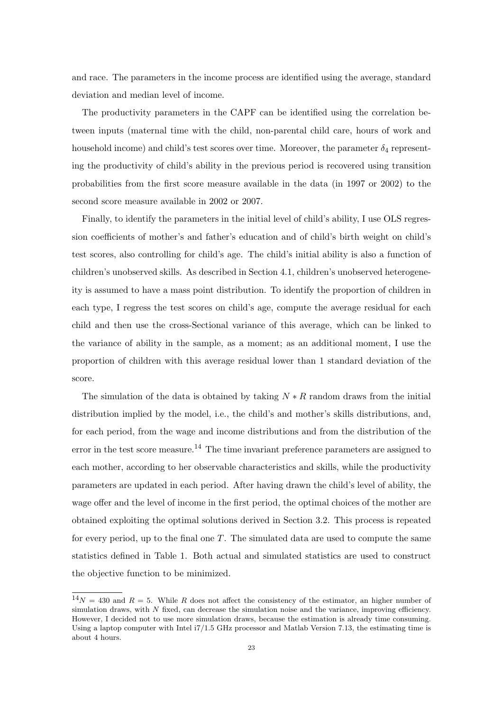and race. The parameters in the income process are identified using the average, standard deviation and median level of income.

The productivity parameters in the CAPF can be identified using the correlation between inputs (maternal time with the child, non-parental child care, hours of work and household income) and child's test scores over time. Moreover, the parameter  $\delta_4$  representing the productivity of child's ability in the previous period is recovered using transition probabilities from the first score measure available in the data (in 1997 or 2002) to the second score measure available in 2002 or 2007.

Finally, to identify the parameters in the initial level of child's ability, I use OLS regression coefficients of mother's and father's education and of child's birth weight on child's test scores, also controlling for child's age. The child's initial ability is also a function of children's unobserved skills. As described in Section 4.1, children's unobserved heterogeneity is assumed to have a mass point distribution. To identify the proportion of children in each type, I regress the test scores on child's age, compute the average residual for each child and then use the cross-Sectional variance of this average, which can be linked to the variance of ability in the sample, as a moment; as an additional moment, I use the proportion of children with this average residual lower than 1 standard deviation of the score.

The simulation of the data is obtained by taking  $N \ast R$  random draws from the initial distribution implied by the model, i.e., the child's and mother's skills distributions, and, for each period, from the wage and income distributions and from the distribution of the error in the test score measure.<sup>14</sup> The time invariant preference parameters are assigned to each mother, according to her observable characteristics and skills, while the productivity parameters are updated in each period. After having drawn the child's level of ability, the wage offer and the level of income in the first period, the optimal choices of the mother are obtained exploiting the optimal solutions derived in Section 3.2. This process is repeated for every period, up to the final one  $T$ . The simulated data are used to compute the same statistics defined in Table 1. Both actual and simulated statistics are used to construct the objective function to be minimized.

 $14N = 430$  and  $R = 5$ . While R does not affect the consistency of the estimator, an higher number of simulation draws, with  $N$  fixed, can decrease the simulation noise and the variance, improving efficiency. However, I decided not to use more simulation draws, because the estimation is already time consuming. Using a laptop computer with Intel i7/1.5 GHz processor and Matlab Version 7.13, the estimating time is about 4 hours.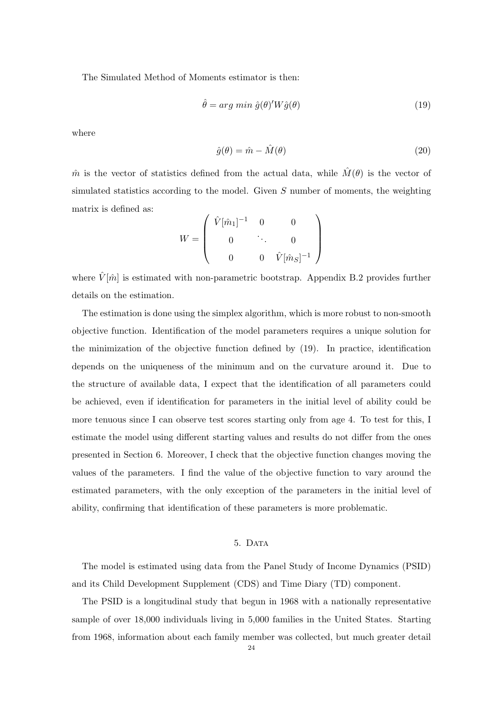The Simulated Method of Moments estimator is then:

$$
\hat{\theta} = arg \ min \hat{g}(\theta)' W \hat{g}(\theta) \tag{19}
$$

where

$$
\hat{g}(\theta) = \hat{m} - \hat{M}(\theta) \tag{20}
$$

 $\hat{m}$  is the vector of statistics defined from the actual data, while  $\hat{M}(\theta)$  is the vector of simulated statistics according to the model. Given  $S$  number of moments, the weighting matrix is defined as:

$$
W = \begin{pmatrix} \hat{V}[\hat{m}_1]^{-1} & 0 & 0 \\ 0 & \ddots & 0 \\ 0 & 0 & \hat{V}[\hat{m}_S]^{-1} \end{pmatrix}
$$

where  $\hat{V}[\hat{m}]$  is estimated with non-parametric bootstrap. Appendix B.2 provides further details on the estimation.

The estimation is done using the simplex algorithm, which is more robust to non-smooth objective function. Identification of the model parameters requires a unique solution for the minimization of the objective function defined by (19). In practice, identification depends on the uniqueness of the minimum and on the curvature around it. Due to the structure of available data, I expect that the identification of all parameters could be achieved, even if identification for parameters in the initial level of ability could be more tenuous since I can observe test scores starting only from age 4. To test for this, I estimate the model using different starting values and results do not differ from the ones presented in Section 6. Moreover, I check that the objective function changes moving the values of the parameters. I find the value of the objective function to vary around the estimated parameters, with the only exception of the parameters in the initial level of ability, confirming that identification of these parameters is more problematic.

## 5. DATA

The model is estimated using data from the Panel Study of Income Dynamics (PSID) and its Child Development Supplement (CDS) and Time Diary (TD) component.

The PSID is a longitudinal study that begun in 1968 with a nationally representative sample of over 18,000 individuals living in 5,000 families in the United States. Starting from 1968, information about each family member was collected, but much greater detail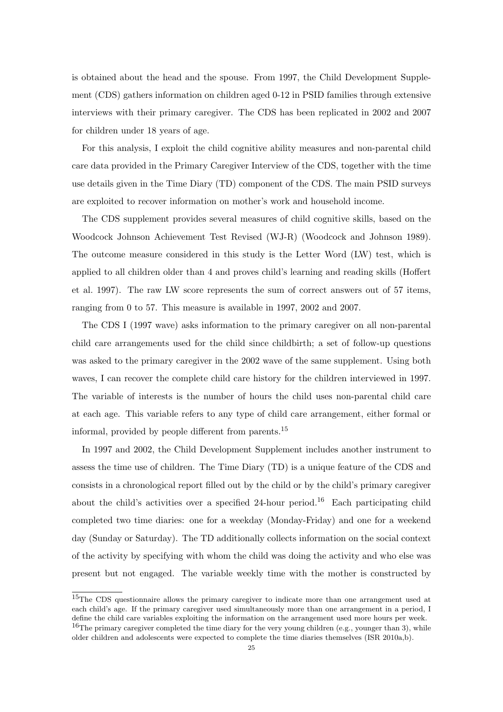is obtained about the head and the spouse. From 1997, the Child Development Supplement (CDS) gathers information on children aged 0-12 in PSID families through extensive interviews with their primary caregiver. The CDS has been replicated in 2002 and 2007 for children under 18 years of age.

For this analysis, I exploit the child cognitive ability measures and non-parental child care data provided in the Primary Caregiver Interview of the CDS, together with the time use details given in the Time Diary (TD) component of the CDS. The main PSID surveys are exploited to recover information on mother's work and household income.

The CDS supplement provides several measures of child cognitive skills, based on the Woodcock Johnson Achievement Test Revised (WJ-R) (Woodcock and Johnson 1989). The outcome measure considered in this study is the Letter Word (LW) test, which is applied to all children older than 4 and proves child's learning and reading skills (Hoffert et al. 1997). The raw LW score represents the sum of correct answers out of 57 items, ranging from 0 to 57. This measure is available in 1997, 2002 and 2007.

The CDS I (1997 wave) asks information to the primary caregiver on all non-parental child care arrangements used for the child since childbirth; a set of follow-up questions was asked to the primary caregiver in the 2002 wave of the same supplement. Using both waves, I can recover the complete child care history for the children interviewed in 1997. The variable of interests is the number of hours the child uses non-parental child care at each age. This variable refers to any type of child care arrangement, either formal or informal, provided by people different from parents.<sup>15</sup>

In 1997 and 2002, the Child Development Supplement includes another instrument to assess the time use of children. The Time Diary (TD) is a unique feature of the CDS and consists in a chronological report filled out by the child or by the child's primary caregiver about the child's activities over a specified 24-hour period.<sup>16</sup> Each participating child completed two time diaries: one for a weekday (Monday-Friday) and one for a weekend day (Sunday or Saturday). The TD additionally collects information on the social context of the activity by specifying with whom the child was doing the activity and who else was present but not engaged. The variable weekly time with the mother is constructed by

<sup>&</sup>lt;sup>15</sup>The CDS questionnaire allows the primary caregiver to indicate more than one arrangement used at each child's age. If the primary caregiver used simultaneously more than one arrangement in a period, I define the child care variables exploiting the information on the arrangement used more hours per week. <sup>16</sup>The primary caregiver completed the time diary for the very young children (e.g., younger than 3), while

older children and adolescents were expected to complete the time diaries themselves (ISR 2010a,b).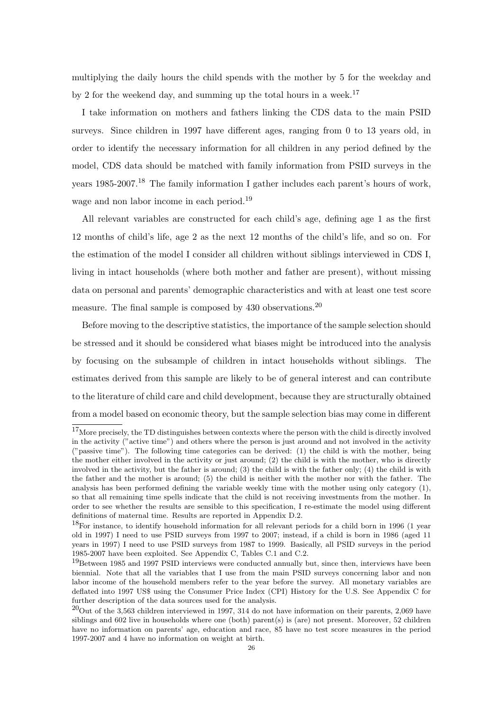multiplying the daily hours the child spends with the mother by 5 for the weekday and by 2 for the weekend day, and summing up the total hours in a week.<sup>17</sup>

I take information on mothers and fathers linking the CDS data to the main PSID surveys. Since children in 1997 have different ages, ranging from 0 to 13 years old, in order to identify the necessary information for all children in any period defined by the model, CDS data should be matched with family information from PSID surveys in the years 1985-2007.<sup>18</sup> The family information I gather includes each parent's hours of work, wage and non labor income in each period.<sup>19</sup>

All relevant variables are constructed for each child's age, defining age 1 as the first 12 months of child's life, age 2 as the next 12 months of the child's life, and so on. For the estimation of the model I consider all children without siblings interviewed in CDS I, living in intact households (where both mother and father are present), without missing data on personal and parents' demographic characteristics and with at least one test score measure. The final sample is composed by  $430$  observations.<sup>20</sup>

Before moving to the descriptive statistics, the importance of the sample selection should be stressed and it should be considered what biases might be introduced into the analysis by focusing on the subsample of children in intact households without siblings. The estimates derived from this sample are likely to be of general interest and can contribute to the literature of child care and child development, because they are structurally obtained from a model based on economic theory, but the sample selection bias may come in different

 $17$ More precisely, the TD distinguishes between contexts where the person with the child is directly involved in the activity ("active time") and others where the person is just around and not involved in the activity ("passive time"). The following time categories can be derived: (1) the child is with the mother, being the mother either involved in the activity or just around; (2) the child is with the mother, who is directly involved in the activity, but the father is around; (3) the child is with the father only; (4) the child is with the father and the mother is around; (5) the child is neither with the mother nor with the father. The analysis has been performed defining the variable weekly time with the mother using only category (1), so that all remaining time spells indicate that the child is not receiving investments from the mother. In order to see whether the results are sensible to this specification, I re-estimate the model using different definitions of maternal time. Results are reported in Appendix D.2.

 $18$ For instance, to identify household information for all relevant periods for a child born in 1996 (1 year old in 1997) I need to use PSID surveys from 1997 to 2007; instead, if a child is born in 1986 (aged 11 years in 1997) I need to use PSID surveys from 1987 to 1999. Basically, all PSID surveys in the period 1985-2007 have been exploited. See Appendix C, Tables C.1 and C.2.

 $19B$ etween 1985 and 1997 PSID interviews were conducted annually but, since then, interviews have been biennial. Note that all the variables that I use from the main PSID surveys concerning labor and non labor income of the household members refer to the year before the survey. All monetary variables are deflated into 1997 US\$ using the Consumer Price Index (CPI) History for the U.S. See Appendix C for further description of the data sources used for the analysis.

 $^{20}$ Out of the 3,563 children interviewed in 1997, 314 do not have information on their parents, 2,069 have siblings and 602 live in households where one (both) parent(s) is (are) not present. Moreover, 52 children have no information on parents' age, education and race, 85 have no test score measures in the period 1997-2007 and 4 have no information on weight at birth.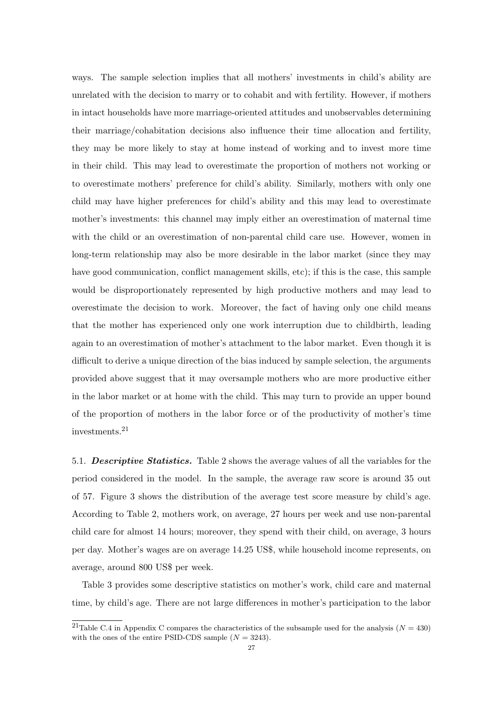ways. The sample selection implies that all mothers' investments in child's ability are unrelated with the decision to marry or to cohabit and with fertility. However, if mothers in intact households have more marriage-oriented attitudes and unobservables determining their marriage/cohabitation decisions also influence their time allocation and fertility, they may be more likely to stay at home instead of working and to invest more time in their child. This may lead to overestimate the proportion of mothers not working or to overestimate mothers' preference for child's ability. Similarly, mothers with only one child may have higher preferences for child's ability and this may lead to overestimate mother's investments: this channel may imply either an overestimation of maternal time with the child or an overestimation of non-parental child care use. However, women in long-term relationship may also be more desirable in the labor market (since they may have good communication, conflict management skills, etc); if this is the case, this sample would be disproportionately represented by high productive mothers and may lead to overestimate the decision to work. Moreover, the fact of having only one child means that the mother has experienced only one work interruption due to childbirth, leading again to an overestimation of mother's attachment to the labor market. Even though it is difficult to derive a unique direction of the bias induced by sample selection, the arguments provided above suggest that it may oversample mothers who are more productive either in the labor market or at home with the child. This may turn to provide an upper bound of the proportion of mothers in the labor force or of the productivity of mother's time investments.<sup>21</sup>

5.1. Descriptive Statistics. Table 2 shows the average values of all the variables for the period considered in the model. In the sample, the average raw score is around 35 out of 57. Figure 3 shows the distribution of the average test score measure by child's age. According to Table 2, mothers work, on average, 27 hours per week and use non-parental child care for almost 14 hours; moreover, they spend with their child, on average, 3 hours per day. Mother's wages are on average 14.25 US\$, while household income represents, on average, around 800 US\$ per week.

Table 3 provides some descriptive statistics on mother's work, child care and maternal time, by child's age. There are not large differences in mother's participation to the labor

<sup>&</sup>lt;sup>21</sup>Table C.4 in Appendix C compares the characteristics of the subsample used for the analysis ( $N = 430$ ) with the ones of the entire PSID-CDS sample  $(N = 3243)$ .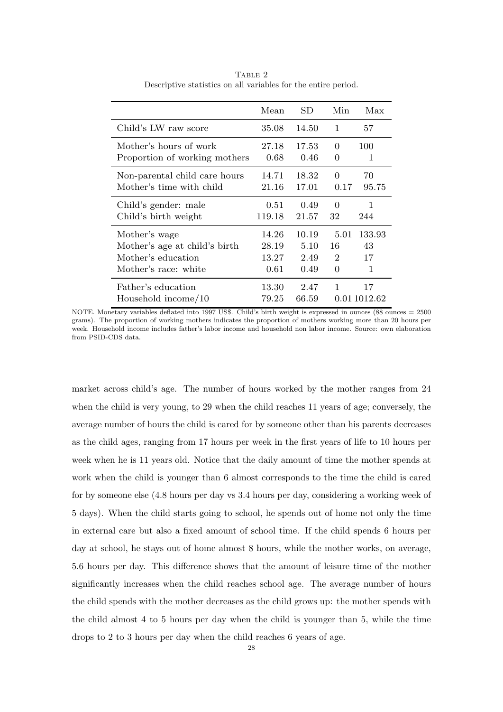|                               | Mean   | SD.   | Min      | Max          |
|-------------------------------|--------|-------|----------|--------------|
| Child's LW raw score          | 35.08  | 14.50 | 1        | 57           |
| Mother's hours of work        | 27.18  | 17.53 | $\Omega$ | 100          |
| Proportion of working mothers | 0.68   | 0.46  | 0        | 1            |
| Non-parental child care hours | 14.71  | 18.32 | 0        | 70           |
| Mother's time with child      | 21.16  | 17.01 | 0.17     | 95.75        |
| Child's gender: male          | 0.51   | 0.49  | 0        | 1            |
| Child's birth weight          | 119.18 | 21.57 | 32       | 244          |
| Mother's wage                 | 14.26  | 10.19 | 5.01     | 133.93       |
| Mother's age at child's birth | 28.19  | 5.10  | 16       | 43           |
| Mother's education            | 13.27  | 2.49  | 2        | 17           |
| Mother's race: white          | 0.61   | 0.49  | 0        | 1            |
| Father's education            | 13.30  | 2.47  | 1        | 17           |
| Household income/10           | 79.25  | 66.59 |          | 0.01 1012.62 |

TABLE 2 Descriptive statistics on all variables for the entire period.

NOTE. Monetary variables deflated into 1997 US\$. Child's birth weight is expressed in ounces (88 ounces = 2500 grams). The proportion of working mothers indicates the proportion of mothers working more than 20 hours per week. Household income includes father's labor income and household non labor income. Source: own elaboration from PSID-CDS data.

market across child's age. The number of hours worked by the mother ranges from 24 when the child is very young, to 29 when the child reaches 11 years of age; conversely, the average number of hours the child is cared for by someone other than his parents decreases as the child ages, ranging from 17 hours per week in the first years of life to 10 hours per week when he is 11 years old. Notice that the daily amount of time the mother spends at work when the child is younger than 6 almost corresponds to the time the child is cared for by someone else (4.8 hours per day vs 3.4 hours per day, considering a working week of 5 days). When the child starts going to school, he spends out of home not only the time in external care but also a fixed amount of school time. If the child spends 6 hours per day at school, he stays out of home almost 8 hours, while the mother works, on average, 5.6 hours per day. This difference shows that the amount of leisure time of the mother significantly increases when the child reaches school age. The average number of hours the child spends with the mother decreases as the child grows up: the mother spends with the child almost 4 to 5 hours per day when the child is younger than 5, while the time drops to 2 to 3 hours per day when the child reaches 6 years of age.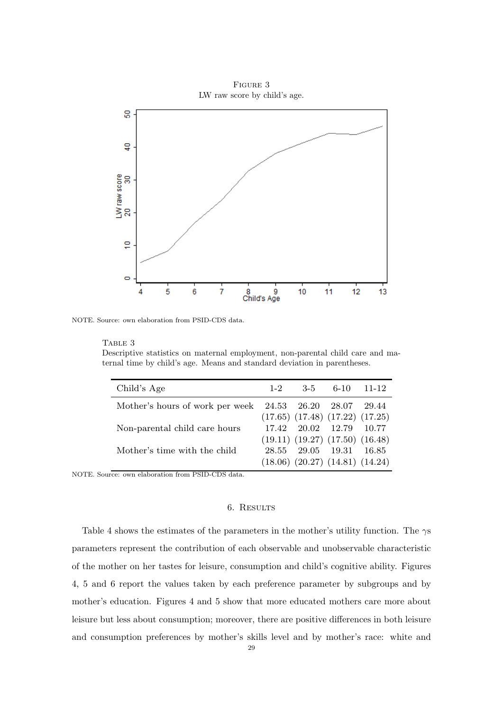

NOTE. Source: own elaboration from PSID-CDS data.

TABLE 3

Descriptive statistics on maternal employment, non-parental child care and maternal time by child's age. Means and standard deviation in parentheses.

| Child's Age                                             | $1-2$ | $3-5$ | $6-10$                                  | 11-12 |
|---------------------------------------------------------|-------|-------|-----------------------------------------|-------|
| Mother's hours of work per week 24.53 26.20 28.07 29.44 |       |       |                                         |       |
|                                                         |       |       | $(17.65)$ $(17.48)$ $(17.22)$ $(17.25)$ |       |
| Non-parental child care hours                           |       |       | 17.42 20.02 12.79 10.77                 |       |
|                                                         |       |       | $(19.11)$ $(19.27)$ $(17.50)$ $(16.48)$ |       |
| Mother's time with the child                            |       |       | 28.55 29.05 19.31 16.85                 |       |
|                                                         |       |       | $(18.06)$ $(20.27)$ $(14.81)$ $(14.24)$ |       |
|                                                         |       |       |                                         |       |

NOTE. Source: own elaboration from PSID-CDS data.

## 6. Results

Table 4 shows the estimates of the parameters in the mother's utility function. The  $\gamma s$ parameters represent the contribution of each observable and unobservable characteristic of the mother on her tastes for leisure, consumption and child's cognitive ability. Figures 4, 5 and 6 report the values taken by each preference parameter by subgroups and by mother's education. Figures 4 and 5 show that more educated mothers care more about leisure but less about consumption; moreover, there are positive differences in both leisure and consumption preferences by mother's skills level and by mother's race: white and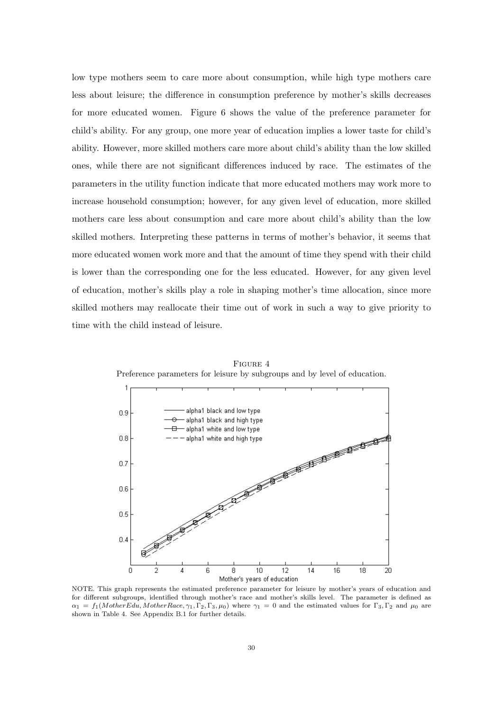low type mothers seem to care more about consumption, while high type mothers care less about leisure; the difference in consumption preference by mother's skills decreases for more educated women. Figure 6 shows the value of the preference parameter for child's ability. For any group, one more year of education implies a lower taste for child's ability. However, more skilled mothers care more about child's ability than the low skilled ones, while there are not significant differences induced by race. The estimates of the parameters in the utility function indicate that more educated mothers may work more to increase household consumption; however, for any given level of education, more skilled mothers care less about consumption and care more about child's ability than the low skilled mothers. Interpreting these patterns in terms of mother's behavior, it seems that more educated women work more and that the amount of time they spend with their child is lower than the corresponding one for the less educated. However, for any given level of education, mother's skills play a role in shaping mother's time allocation, since more skilled mothers may reallocate their time out of work in such a way to give priority to time with the child instead of leisure.



Figure 4 Preference parameters for leisure by subgroups and by level of education.

NOTE. This graph represents the estimated preference parameter for leisure by mother's years of education and for different subgroups, identified through mother's race and mother's skills level. The parameter is defined as  $\alpha_1 = f_1(MotherEdu, MotherRace, \gamma_1, \Gamma_2, \Gamma_3, \mu_0)$  where  $\gamma_1 = 0$  and the estimated values for  $\Gamma_3, \Gamma_2$  and  $\mu_0$  are shown in Table 4. See Appendix B.1 for further details.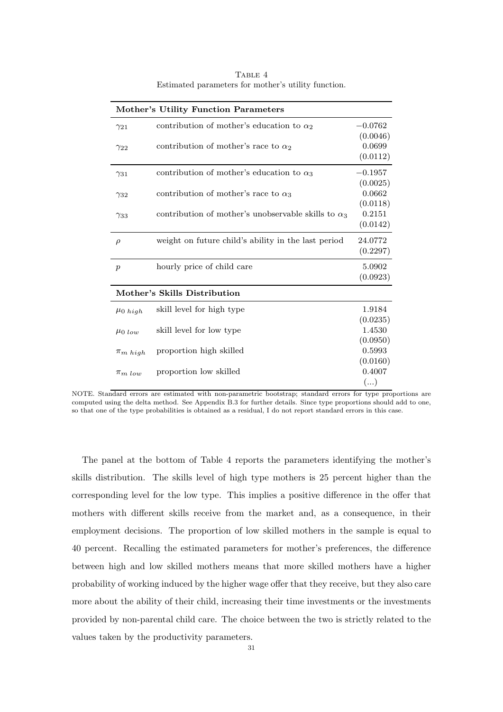| <b>Mother's Utility Function Parameters</b> |                                                            |           |  |  |
|---------------------------------------------|------------------------------------------------------------|-----------|--|--|
| $\gamma_{21}$                               | contribution of mother's education to $\alpha_2$           | $-0.0762$ |  |  |
|                                             |                                                            | (0.0046)  |  |  |
| $\gamma_{22}$                               | contribution of mother's race to $\alpha_2$                | 0.0699    |  |  |
|                                             |                                                            | (0.0112)  |  |  |
| $\gamma_{31}$                               | contribution of mother's education to $\alpha_3$           | $-0.1957$ |  |  |
|                                             |                                                            | (0.0025)  |  |  |
| $\gamma_{32}$                               | contribution of mother's race to $\alpha_3$                | 0.0662    |  |  |
|                                             |                                                            | (0.0118)  |  |  |
| $\gamma_{33}$                               | contribution of mother's unobservable skills to $\alpha_3$ | 0.2151    |  |  |
|                                             |                                                            | (0.0142)  |  |  |
| $\rho$                                      | weight on future child's ability in the last period        | 24.0772   |  |  |
|                                             |                                                            | (0.2297)  |  |  |
| $\boldsymbol{p}$                            | hourly price of child care                                 | 5.0902    |  |  |
|                                             |                                                            | (0.0923)  |  |  |
|                                             | Mother's Skills Distribution                               |           |  |  |
| $\mu_0$ high                                | skill level for high type                                  | 1.9184    |  |  |
|                                             |                                                            | (0.0235)  |  |  |
| $\mu_0$ low                                 | skill level for low type                                   | 1.4530    |  |  |
|                                             |                                                            | (0.0950)  |  |  |
| $\pi_{m\;high}$                             | proportion high skilled                                    | 0.5993    |  |  |
|                                             |                                                            | (0.0160)  |  |  |
| $\pi_{m, low}$                              | proportion low skilled                                     | 0.4007    |  |  |
|                                             |                                                            | ()        |  |  |

TABLE 4 Estimated parameters for mother's utility function.

NOTE. Standard errors are estimated with non-parametric bootstrap; standard errors for type proportions are computed using the delta method. See Appendix B.3 for further details. Since type proportions should add to one, so that one of the type probabilities is obtained as a residual, I do not report standard errors in this case.

The panel at the bottom of Table 4 reports the parameters identifying the mother's skills distribution. The skills level of high type mothers is 25 percent higher than the corresponding level for the low type. This implies a positive difference in the offer that mothers with different skills receive from the market and, as a consequence, in their employment decisions. The proportion of low skilled mothers in the sample is equal to 40 percent. Recalling the estimated parameters for mother's preferences, the difference between high and low skilled mothers means that more skilled mothers have a higher probability of working induced by the higher wage offer that they receive, but they also care more about the ability of their child, increasing their time investments or the investments provided by non-parental child care. The choice between the two is strictly related to the values taken by the productivity parameters.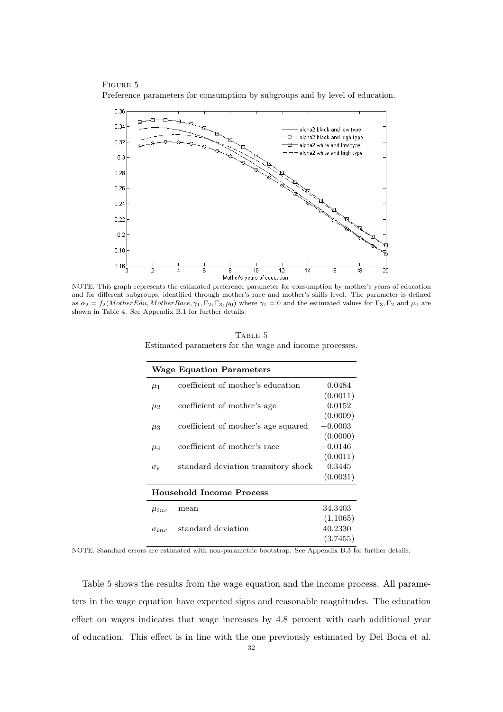Figure 5 Preference parameters for consumption by subgroups and by level of education.



NOTE. This graph represents the estimated preference parameter for consumption by mother's years of education and for different subgroups, identified through mother's race and mother's skills level. The parameter is defined as  $\alpha_2 = f_2(MotherEdu, MotherRace, \gamma_1, \Gamma_2, \Gamma_3, \mu_0)$  where  $\gamma_1 = 0$  and the estimated values for  $\Gamma_3, \Gamma_2$  and  $\mu_0$  are shown in Table 4. See Appendix B.1 for further details.

TABLE 5 Estimated parameters for the wage and income processes.

|                     | <b>Wage Equation Parameters</b>     |           |
|---------------------|-------------------------------------|-----------|
| $\mu_1$             | coefficient of mother's education   | 0.0484    |
|                     |                                     | (0.0011)  |
| $\mu_2$             | coefficient of mother's age         | 0.0152    |
|                     |                                     | (0.0009)  |
| $\mu_3$             | coefficient of mother's age squared | $-0.0003$ |
|                     |                                     | (0.0000)  |
| $\mu_4$             | coefficient of mother's race        | $-0.0146$ |
|                     |                                     | (0.0011)  |
| $\sigma_{\epsilon}$ | standard deviation transitory shock | 0.3445    |
|                     |                                     | (0.0031)  |
|                     | Household Income Process            |           |
| $\mu_{inc}$         | mean                                | 34.3403   |
|                     |                                     | (1.1065)  |
| $\sigma_{inc}$      | standard deviation                  | 40.2330   |
|                     |                                     | (3.7455)  |

NOTE. Standard errors are estimated with non-parametric bootstrap. See Appendix B.3 for further details.

Table 5 shows the results from the wage equation and the income process. All parameters in the wage equation have expected signs and reasonable magnitudes. The education effect on wages indicates that wage increases by 4.8 percent with each additional year of education. This effect is in line with the one previously estimated by Del Boca et al.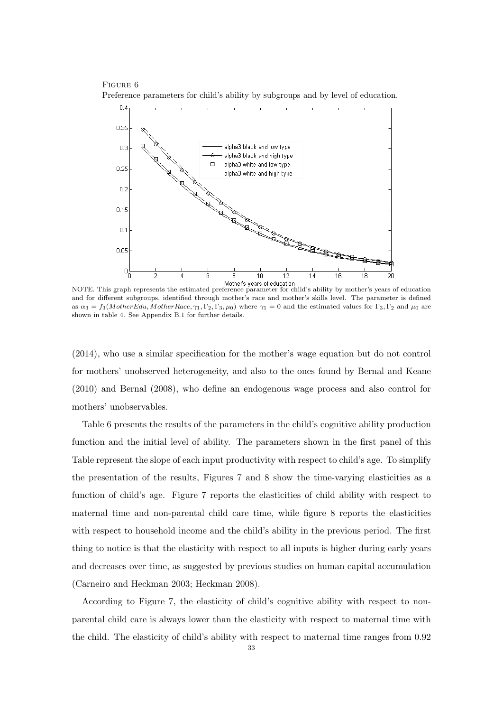Figure 6 Preference parameters for child's ability by subgroups and by level of education.



Mother's years of education<br>NOTE. This graph represents the estimated preference parameter for child's ability by mother's years of education and for different subgroups, identified through mother's race and mother's skills level. The parameter is defined as  $\alpha_3 = f_3(MotherEdu, MotherRace, \gamma_1, \Gamma_2, \Gamma_3, \mu_0)$  where  $\gamma_1 = 0$  and the estimated values for  $\Gamma_3, \Gamma_2$  and  $\mu_0$  are shown in table 4. See Appendix B.1 for further details.

(2014), who use a similar specification for the mother's wage equation but do not control for mothers' unobserved heterogeneity, and also to the ones found by Bernal and Keane (2010) and Bernal (2008), who define an endogenous wage process and also control for mothers' unobservables.

Table 6 presents the results of the parameters in the child's cognitive ability production function and the initial level of ability. The parameters shown in the first panel of this Table represent the slope of each input productivity with respect to child's age. To simplify the presentation of the results, Figures 7 and 8 show the time-varying elasticities as a function of child's age. Figure 7 reports the elasticities of child ability with respect to maternal time and non-parental child care time, while figure 8 reports the elasticities with respect to household income and the child's ability in the previous period. The first thing to notice is that the elasticity with respect to all inputs is higher during early years and decreases over time, as suggested by previous studies on human capital accumulation (Carneiro and Heckman 2003; Heckman 2008).

According to Figure 7, the elasticity of child's cognitive ability with respect to nonparental child care is always lower than the elasticity with respect to maternal time with the child. The elasticity of child's ability with respect to maternal time ranges from 0.92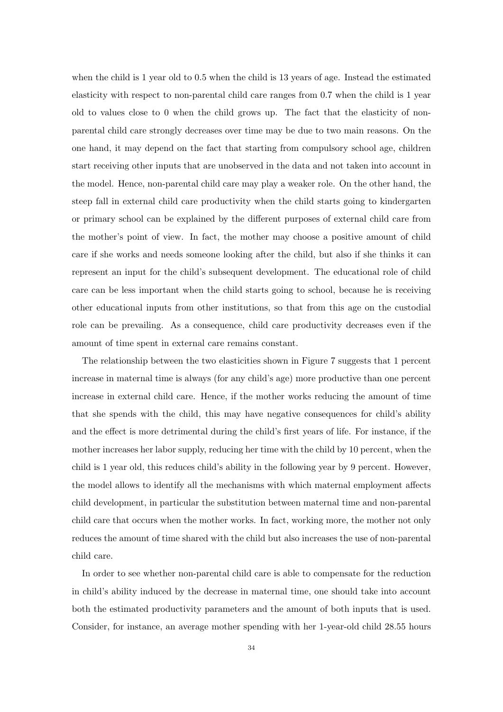when the child is 1 year old to 0.5 when the child is 13 years of age. Instead the estimated elasticity with respect to non-parental child care ranges from 0.7 when the child is 1 year old to values close to 0 when the child grows up. The fact that the elasticity of nonparental child care strongly decreases over time may be due to two main reasons. On the one hand, it may depend on the fact that starting from compulsory school age, children start receiving other inputs that are unobserved in the data and not taken into account in the model. Hence, non-parental child care may play a weaker role. On the other hand, the steep fall in external child care productivity when the child starts going to kindergarten or primary school can be explained by the different purposes of external child care from the mother's point of view. In fact, the mother may choose a positive amount of child care if she works and needs someone looking after the child, but also if she thinks it can represent an input for the child's subsequent development. The educational role of child care can be less important when the child starts going to school, because he is receiving other educational inputs from other institutions, so that from this age on the custodial role can be prevailing. As a consequence, child care productivity decreases even if the amount of time spent in external care remains constant.

The relationship between the two elasticities shown in Figure 7 suggests that 1 percent increase in maternal time is always (for any child's age) more productive than one percent increase in external child care. Hence, if the mother works reducing the amount of time that she spends with the child, this may have negative consequences for child's ability and the effect is more detrimental during the child's first years of life. For instance, if the mother increases her labor supply, reducing her time with the child by 10 percent, when the child is 1 year old, this reduces child's ability in the following year by 9 percent. However, the model allows to identify all the mechanisms with which maternal employment affects child development, in particular the substitution between maternal time and non-parental child care that occurs when the mother works. In fact, working more, the mother not only reduces the amount of time shared with the child but also increases the use of non-parental child care.

In order to see whether non-parental child care is able to compensate for the reduction in child's ability induced by the decrease in maternal time, one should take into account both the estimated productivity parameters and the amount of both inputs that is used. Consider, for instance, an average mother spending with her 1-year-old child 28.55 hours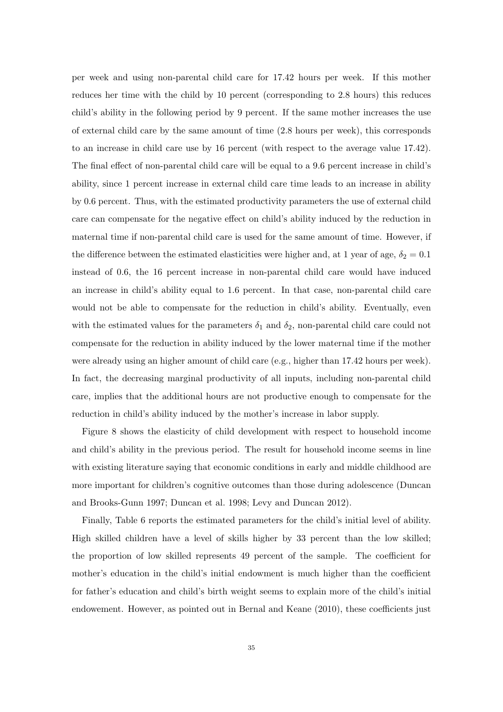per week and using non-parental child care for 17.42 hours per week. If this mother reduces her time with the child by 10 percent (corresponding to 2.8 hours) this reduces child's ability in the following period by 9 percent. If the same mother increases the use of external child care by the same amount of time (2.8 hours per week), this corresponds to an increase in child care use by 16 percent (with respect to the average value 17.42). The final effect of non-parental child care will be equal to a 9.6 percent increase in child's ability, since 1 percent increase in external child care time leads to an increase in ability by 0.6 percent. Thus, with the estimated productivity parameters the use of external child care can compensate for the negative effect on child's ability induced by the reduction in maternal time if non-parental child care is used for the same amount of time. However, if the difference between the estimated elasticities were higher and, at 1 year of age,  $\delta_2 = 0.1$ instead of 0.6, the 16 percent increase in non-parental child care would have induced an increase in child's ability equal to 1.6 percent. In that case, non-parental child care would not be able to compensate for the reduction in child's ability. Eventually, even with the estimated values for the parameters  $\delta_1$  and  $\delta_2$ , non-parental child care could not compensate for the reduction in ability induced by the lower maternal time if the mother were already using an higher amount of child care (e.g., higher than 17.42 hours per week). In fact, the decreasing marginal productivity of all inputs, including non-parental child care, implies that the additional hours are not productive enough to compensate for the reduction in child's ability induced by the mother's increase in labor supply.

Figure 8 shows the elasticity of child development with respect to household income and child's ability in the previous period. The result for household income seems in line with existing literature saying that economic conditions in early and middle childhood are more important for children's cognitive outcomes than those during adolescence (Duncan and Brooks-Gunn 1997; Duncan et al. 1998; Levy and Duncan 2012).

Finally, Table 6 reports the estimated parameters for the child's initial level of ability. High skilled children have a level of skills higher by 33 percent than the low skilled; the proportion of low skilled represents 49 percent of the sample. The coefficient for mother's education in the child's initial endowment is much higher than the coefficient for father's education and child's birth weight seems to explain more of the child's initial endowement. However, as pointed out in Bernal and Keane (2010), these coefficients just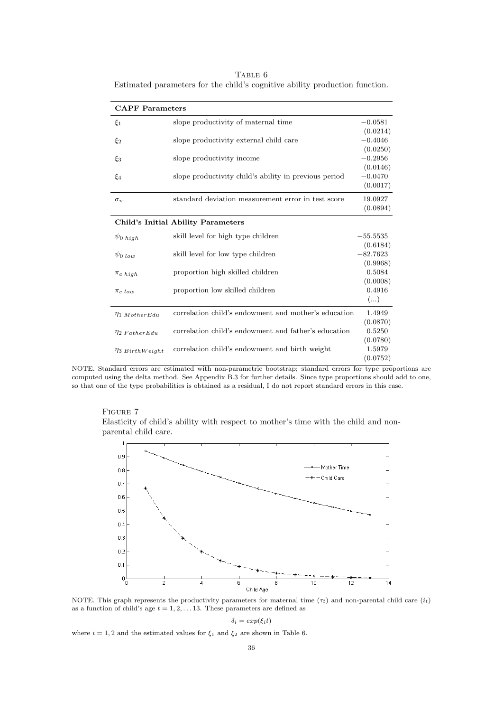TABLE 6 Estimated parameters for the child's cognitive ability production function.

| <b>CAPF</b> Parameters |                                                       |            |
|------------------------|-------------------------------------------------------|------------|
| $\xi_1$                | slope productivity of maternal time                   | $-0.0581$  |
|                        |                                                       | (0.0214)   |
| $\xi_2$                | slope productivity external child care                | $-0.4046$  |
|                        |                                                       | (0.0250)   |
| $\xi_3$                | slope productivity income                             | $-0.2956$  |
|                        |                                                       | (0.0146)   |
| $\xi_4$                | slope productivity child's ability in previous period | $-0.0470$  |
|                        |                                                       | (0.0017)   |
| $\sigma_v$             | standard deviation measurement error in test score    | 19.0927    |
|                        |                                                       | (0.0894)   |
|                        | <b>Child's Initial Ability Parameters</b>             |            |
| $\psi_0$ high          | skill level for high type children                    | $-55.5535$ |
|                        |                                                       | (0.6184)   |
| $\psi_0$ low           | skill level for low type children                     | $-82.7623$ |
|                        |                                                       | (0.9968)   |
| $\pi_c$ high           | proportion high skilled children                      | 0.5084     |
|                        |                                                       | (0.0008)   |
| $\pi_{c,low}$          | proportion low skilled children                       | 0.4916     |
|                        |                                                       | ()         |
| $\eta_1$ Mother Edu    | correlation child's endowment and mother's education  | 1.4949     |
|                        |                                                       | (0.0870)   |
| $\eta_2$ Father Edu    | correlation child's endowment and father's education  | 0.5250     |
|                        |                                                       | (0.0780)   |
| $\eta_3$ BirthWeight   | correlation child's endowment and birth weight        | 1.5979     |
|                        |                                                       | (0.0752)   |

NOTE. Standard errors are estimated with non-parametric bootstrap; standard errors for type proportions are computed using the delta method. See Appendix B.3 for further details. Since type proportions should add to one, so that one of the type probabilities is obtained as a residual, I do not report standard errors in this case.





NOTE. This graph represents the productivity parameters for maternal time  $(\tau_t)$  and non-parental child care  $(i_t)$ as a function of child's age  $t = 1, 2, \ldots 13$ . These parameters are defined as

$$
\delta_i = \exp(\xi_i t)
$$

where  $i = 1, 2$  and the estimated values for  $\xi_1$  and  $\xi_2$  are shown in Table 6.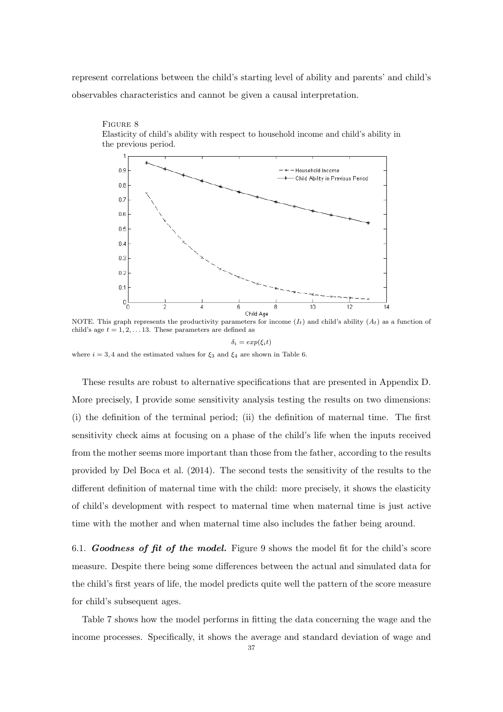represent correlations between the child's starting level of ability and parents' and child's observables characteristics and cannot be given a causal interpretation.



Figure 8 Elasticity of child's ability with respect to household income and child's ability in the previous period.

NOTE. This graph represents the productivity parameters for income  $(I_t)$  and child's ability  $(A_t)$  as a function of child's age  $t = 1, 2, \ldots 13$ . These parameters are defined as

#### $\delta_i = exp(\xi_i t)$

where  $i = 3, 4$  and the estimated values for  $\xi_3$  and  $\xi_4$  are shown in Table 6.

These results are robust to alternative specifications that are presented in Appendix D. More precisely, I provide some sensitivity analysis testing the results on two dimensions: (i) the definition of the terminal period; (ii) the definition of maternal time. The first sensitivity check aims at focusing on a phase of the child's life when the inputs received from the mother seems more important than those from the father, according to the results provided by Del Boca et al. (2014). The second tests the sensitivity of the results to the different definition of maternal time with the child: more precisely, it shows the elasticity of child's development with respect to maternal time when maternal time is just active time with the mother and when maternal time also includes the father being around.

6.1. **Goodness of fit of the model.** Figure 9 shows the model fit for the child's score measure. Despite there being some differences between the actual and simulated data for the child's first years of life, the model predicts quite well the pattern of the score measure for child's subsequent ages.

Table 7 shows how the model performs in fitting the data concerning the wage and the income processes. Specifically, it shows the average and standard deviation of wage and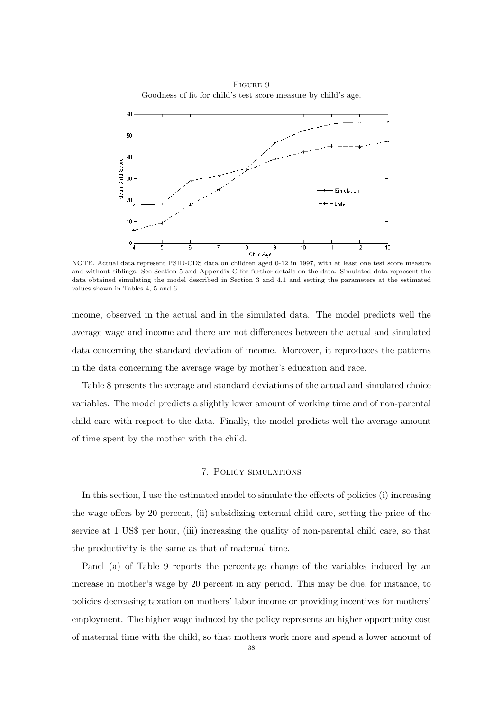Figure 9 Goodness of fit for child's test score measure by child's age.



NOTE. Actual data represent PSID-CDS data on children aged 0-12 in 1997, with at least one test score measure and without siblings. See Section 5 and Appendix C for further details on the data. Simulated data represent the data obtained simulating the model described in Section 3 and 4.1 and setting the parameters at the estimated values shown in Tables 4, 5 and 6.

income, observed in the actual and in the simulated data. The model predicts well the average wage and income and there are not differences between the actual and simulated data concerning the standard deviation of income. Moreover, it reproduces the patterns in the data concerning the average wage by mother's education and race.

Table 8 presents the average and standard deviations of the actual and simulated choice variables. The model predicts a slightly lower amount of working time and of non-parental child care with respect to the data. Finally, the model predicts well the average amount of time spent by the mother with the child.

#### 7. Policy simulations

In this section, I use the estimated model to simulate the effects of policies (i) increasing the wage offers by 20 percent, (ii) subsidizing external child care, setting the price of the service at 1 US\$ per hour, (iii) increasing the quality of non-parental child care, so that the productivity is the same as that of maternal time.

Panel (a) of Table 9 reports the percentage change of the variables induced by an increase in mother's wage by 20 percent in any period. This may be due, for instance, to policies decreasing taxation on mothers' labor income or providing incentives for mothers' employment. The higher wage induced by the policy represents an higher opportunity cost of maternal time with the child, so that mothers work more and spend a lower amount of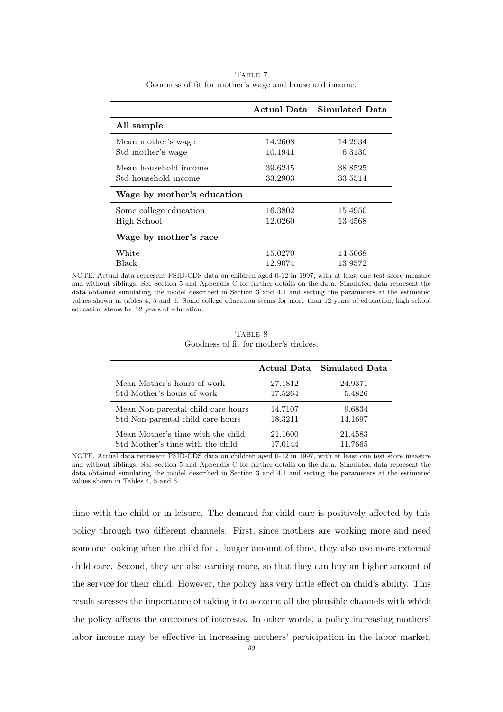|                            |         | Actual Data Simulated Data |
|----------------------------|---------|----------------------------|
| All sample                 |         |                            |
| Mean mother's wage         | 14.2608 | 14.2934                    |
| Std mother's wage          | 10.1941 | 6.3130                     |
| Mean household income      | 39.6245 | 38.8525                    |
| Std household income       | 33.2903 | 33.5514                    |
| Wage by mother's education |         |                            |
| Some college education     | 16.3802 | 15.4950                    |
| High School                | 12.0260 | 13.4568                    |
| Wage by mother's race      |         |                            |
| White                      | 15.0270 | 14.5068                    |
| Black                      | 12.9074 | 13.9572                    |

TABLE 7 Goodness of fit for mother's wage and household income.

NOTE. Actual data represent PSID-CDS data on children aged 0-12 in 1997, with at least one test score measure and without siblings. See Section 5 and Appendix C for further details on the data. Simulated data represent the data obtained simulating the model described in Section 3 and 4.1 and setting the parameters at the estimated values shown in tables 4, 5 and 6. Some college education stems for more than 12 years of education; high school education stems for 12 years of education.

|                                       |  | TABLE 8 |  |
|---------------------------------------|--|---------|--|
| Goodness of fit for mother's choices. |  |         |  |

|                                    |         | Actual Data Simulated Data |
|------------------------------------|---------|----------------------------|
| Mean Mother's hours of work        | 27.1812 | 24.9371                    |
| Std Mother's hours of work         | 17.5264 | 5.4826                     |
| Mean Non-parental child care hours | 14.7107 | 9.6834                     |
| Std Non-parental child care hours  | 18.3211 | 14.1697                    |
| Mean Mother's time with the child  | 21.1600 | 21.4583                    |
| Std Mother's time with the child   | 17.0144 | 11.7665                    |

NOTE. Actual data represent PSID-CDS data on children aged 0-12 in 1997, with at least one test score measure and without siblings. See Section 5 and Appendix C for further details on the data. Simulated data represent the data obtained simulating the model described in Section 3 and 4.1 and setting the parameters at the estimated values shown in Tables 4, 5 and 6.

time with the child or in leisure. The demand for child care is positively affected by this policy through two different channels. First, since mothers are working more and need someone looking after the child for a longer amount of time, they also use more external child care. Second, they are also earning more, so that they can buy an higher amount of the service for their child. However, the policy has very little effect on child's ability. This result stresses the importance of taking into account all the plausible channels with which the policy affects the outcomes of interests. In other words, a policy increasing mothers' labor income may be effective in increasing mothers' participation in the labor market,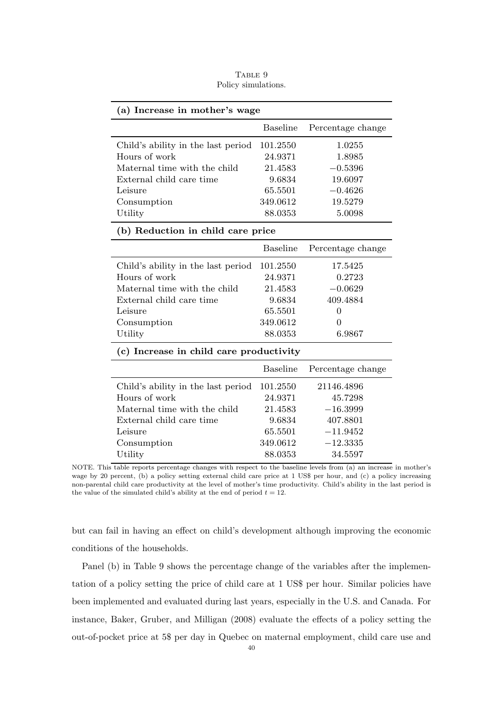TABLE 9 Policy simulations.

| (a) Increase in mother's wage      |          |                   |  |  |
|------------------------------------|----------|-------------------|--|--|
|                                    | Baseline | Percentage change |  |  |
| Child's ability in the last period | 101.2550 | 1.0255            |  |  |
| Hours of work                      | 24.9371  | 1.8985            |  |  |
| Maternal time with the child       | 21.4583  | $-0.5396$         |  |  |
| External child care time           | 9.6834   | 19.6097           |  |  |
| Leisure                            | 65.5501  | $-0.4626$         |  |  |
| Consumption                        | 349.0612 | 19.5279           |  |  |
| Utility                            | 88.0353  | 5.0098            |  |  |
|                                    |          |                   |  |  |

## (b) Reduction in child care price

| Baseline                                    | Percentage change |
|---------------------------------------------|-------------------|
| Child's ability in the last period 101.2550 | 17.5425           |
| 24.9371                                     | 0.2723            |
| 21.4583                                     | $-0.0629$         |
| 9.6834                                      | 409.4884          |
| 65.5501                                     | $\theta$          |
| 349.0612                                    | $\theta$          |
| 88.0353                                     | 6.9867            |
|                                             |                   |

## (c) Increase in child care productivity

|                                    | Baseline | Percentage change |
|------------------------------------|----------|-------------------|
| Child's ability in the last period | 101.2550 | 21146.4896        |
| Hours of work                      | 24.9371  | 45.7298           |
| Maternal time with the child       | 21.4583  | $-16.3999$        |
| External child care time           | 9.6834   | 407.8801          |
| Leisure                            | 65.5501  | $-11.9452$        |
| Consumption                        | 349.0612 | $-12.3335$        |
| Utility                            | 88.0353  | 34.5597           |

NOTE. This table reports percentage changes with respect to the baseline levels from (a) an increase in mother's wage by 20 percent, (b) a policy setting external child care price at 1 US\$ per hour, and (c) a policy increasing non-parental child care productivity at the level of mother's time productivity. Child's ability in the last period is the value of the simulated child's ability at the end of period  $t = 12$ .

but can fail in having an effect on child's development although improving the economic conditions of the households.

Panel (b) in Table 9 shows the percentage change of the variables after the implementation of a policy setting the price of child care at 1 US\$ per hour. Similar policies have been implemented and evaluated during last years, especially in the U.S. and Canada. For instance, Baker, Gruber, and Milligan (2008) evaluate the effects of a policy setting the out-of-pocket price at 5\$ per day in Quebec on maternal employment, child care use and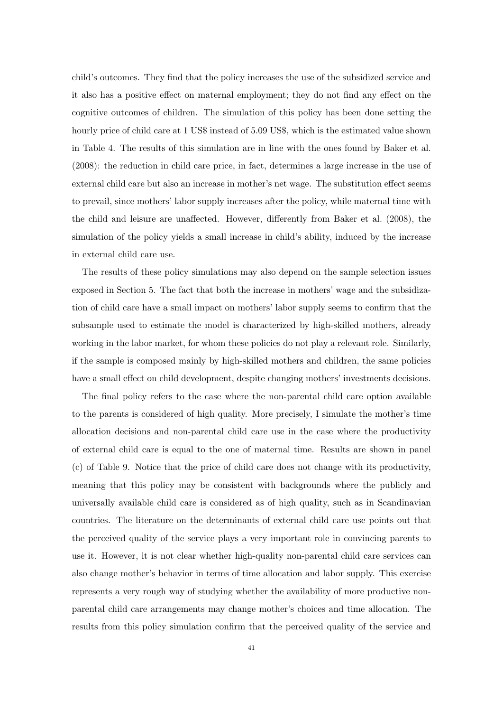child's outcomes. They find that the policy increases the use of the subsidized service and it also has a positive effect on maternal employment; they do not find any effect on the cognitive outcomes of children. The simulation of this policy has been done setting the hourly price of child care at 1 US\$ instead of 5.09 US\$, which is the estimated value shown in Table 4. The results of this simulation are in line with the ones found by Baker et al. (2008): the reduction in child care price, in fact, determines a large increase in the use of external child care but also an increase in mother's net wage. The substitution effect seems to prevail, since mothers' labor supply increases after the policy, while maternal time with the child and leisure are unaffected. However, differently from Baker et al. (2008), the simulation of the policy yields a small increase in child's ability, induced by the increase in external child care use.

The results of these policy simulations may also depend on the sample selection issues exposed in Section 5. The fact that both the increase in mothers' wage and the subsidization of child care have a small impact on mothers' labor supply seems to confirm that the subsample used to estimate the model is characterized by high-skilled mothers, already working in the labor market, for whom these policies do not play a relevant role. Similarly, if the sample is composed mainly by high-skilled mothers and children, the same policies have a small effect on child development, despite changing mothers' investments decisions.

The final policy refers to the case where the non-parental child care option available to the parents is considered of high quality. More precisely, I simulate the mother's time allocation decisions and non-parental child care use in the case where the productivity of external child care is equal to the one of maternal time. Results are shown in panel (c) of Table 9. Notice that the price of child care does not change with its productivity, meaning that this policy may be consistent with backgrounds where the publicly and universally available child care is considered as of high quality, such as in Scandinavian countries. The literature on the determinants of external child care use points out that the perceived quality of the service plays a very important role in convincing parents to use it. However, it is not clear whether high-quality non-parental child care services can also change mother's behavior in terms of time allocation and labor supply. This exercise represents a very rough way of studying whether the availability of more productive nonparental child care arrangements may change mother's choices and time allocation. The results from this policy simulation confirm that the perceived quality of the service and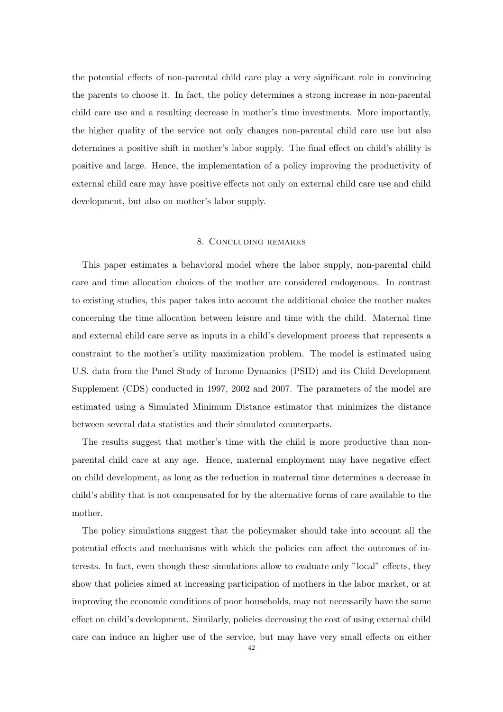the potential effects of non-parental child care play a very significant role in convincing the parents to choose it. In fact, the policy determines a strong increase in non-parental child care use and a resulting decrease in mother's time investments. More importantly, the higher quality of the service not only changes non-parental child care use but also determines a positive shift in mother's labor supply. The final effect on child's ability is positive and large. Hence, the implementation of a policy improving the productivity of external child care may have positive effects not only on external child care use and child development, but also on mother's labor supply.

### 8. Concluding remarks

This paper estimates a behavioral model where the labor supply, non-parental child care and time allocation choices of the mother are considered endogenous. In contrast to existing studies, this paper takes into account the additional choice the mother makes concerning the time allocation between leisure and time with the child. Maternal time and external child care serve as inputs in a child's development process that represents a constraint to the mother's utility maximization problem. The model is estimated using U.S. data from the Panel Study of Income Dynamics (PSID) and its Child Development Supplement (CDS) conducted in 1997, 2002 and 2007. The parameters of the model are estimated using a Simulated Minimum Distance estimator that minimizes the distance between several data statistics and their simulated counterparts.

The results suggest that mother's time with the child is more productive than nonparental child care at any age. Hence, maternal employment may have negative effect on child development, as long as the reduction in maternal time determines a decrease in child's ability that is not compensated for by the alternative forms of care available to the mother.

The policy simulations suggest that the policymaker should take into account all the potential effects and mechanisms with which the policies can affect the outcomes of interests. In fact, even though these simulations allow to evaluate only "local" effects, they show that policies aimed at increasing participation of mothers in the labor market, or at improving the economic conditions of poor households, may not necessarily have the same effect on child's development. Similarly, policies decreasing the cost of using external child care can induce an higher use of the service, but may have very small effects on either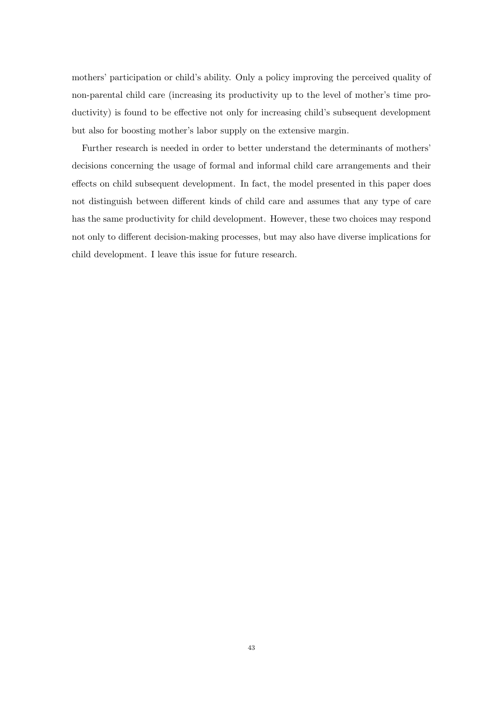mothers' participation or child's ability. Only a policy improving the perceived quality of non-parental child care (increasing its productivity up to the level of mother's time productivity) is found to be effective not only for increasing child's subsequent development but also for boosting mother's labor supply on the extensive margin.

Further research is needed in order to better understand the determinants of mothers' decisions concerning the usage of formal and informal child care arrangements and their effects on child subsequent development. In fact, the model presented in this paper does not distinguish between different kinds of child care and assumes that any type of care has the same productivity for child development. However, these two choices may respond not only to different decision-making processes, but may also have diverse implications for child development. I leave this issue for future research.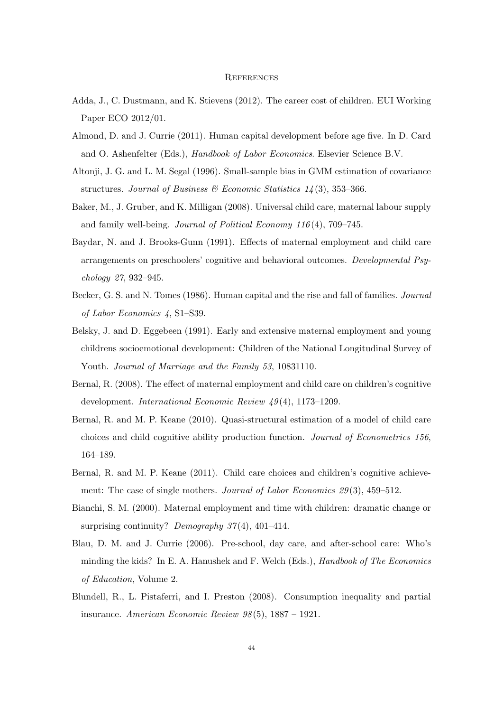#### **REFERENCES**

- Adda, J., C. Dustmann, and K. Stievens (2012). The career cost of children. EUI Working Paper ECO 2012/01.
- Almond, D. and J. Currie (2011). Human capital development before age five. In D. Card and O. Ashenfelter (Eds.), Handbook of Labor Economics. Elsevier Science B.V.
- Altonji, J. G. and L. M. Segal (1996). Small-sample bias in GMM estimation of covariance structures. Journal of Business & Economic Statistics  $1/4$  (3), 353-366.
- Baker, M., J. Gruber, and K. Milligan (2008). Universal child care, maternal labour supply and family well-being. *Journal of Political Economy*  $116(4)$ , 709–745.
- Baydar, N. and J. Brooks-Gunn (1991). Effects of maternal employment and child care arrangements on preschoolers' cognitive and behavioral outcomes. Developmental Psychology 27, 932–945.
- Becker, G. S. and N. Tomes (1986). Human capital and the rise and fall of families. Journal of Labor Economics 4, S1–S39.
- Belsky, J. and D. Eggebeen (1991). Early and extensive maternal employment and young childrens socioemotional development: Children of the National Longitudinal Survey of Youth. Journal of Marriage and the Family 53, 10831110.
- Bernal, R. (2008). The effect of maternal employment and child care on children's cognitive development. International Economic Review 49 (4), 1173–1209.
- Bernal, R. and M. P. Keane (2010). Quasi-structural estimation of a model of child care choices and child cognitive ability production function. Journal of Econometrics 156, 164–189.
- Bernal, R. and M. P. Keane (2011). Child care choices and children's cognitive achievement: The case of single mothers. Journal of Labor Economics 29(3), 459–512.
- Bianchi, S. M. (2000). Maternal employment and time with children: dramatic change or surprising continuity? Demography  $37(4)$ , 401–414.
- Blau, D. M. and J. Currie (2006). Pre-school, day care, and after-school care: Who's minding the kids? In E. A. Hanushek and F. Welch (Eds.), Handbook of The Economics of Education, Volume 2.
- Blundell, R., L. Pistaferri, and I. Preston (2008). Consumption inequality and partial insurance. American Economic Review  $98(5)$ , 1887 – 1921.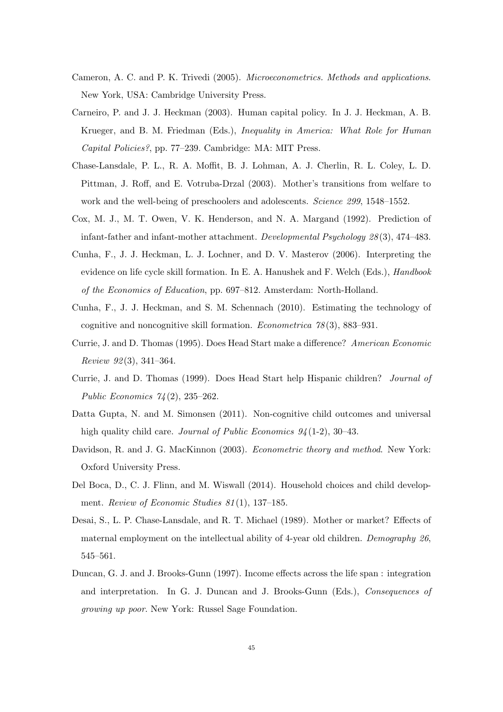- Cameron, A. C. and P. K. Trivedi (2005). Microeconometrics. Methods and applications. New York, USA: Cambridge University Press.
- Carneiro, P. and J. J. Heckman (2003). Human capital policy. In J. J. Heckman, A. B. Krueger, and B. M. Friedman (Eds.), Inequality in America: What Role for Human Capital Policies?, pp. 77–239. Cambridge: MA: MIT Press.
- Chase-Lansdale, P. L., R. A. Moffit, B. J. Lohman, A. J. Cherlin, R. L. Coley, L. D. Pittman, J. Roff, and E. Votruba-Drzal (2003). Mother's transitions from welfare to work and the well-being of preschoolers and adolescents. Science 299, 1548–1552.
- Cox, M. J., M. T. Owen, V. K. Henderson, and N. A. Margand (1992). Prediction of infant-father and infant-mother attachment. Developmental Psychology 28 (3), 474–483.
- Cunha, F., J. J. Heckman, L. J. Lochner, and D. V. Masterov (2006). Interpreting the evidence on life cycle skill formation. In E. A. Hanushek and F. Welch (Eds.), Handbook of the Economics of Education, pp. 697–812. Amsterdam: North-Holland.
- Cunha, F., J. J. Heckman, and S. M. Schennach (2010). Estimating the technology of cognitive and noncognitive skill formation. *Econometrica*  $78(3)$ , 883–931.
- Currie, J. and D. Thomas (1995). Does Head Start make a difference? American Economic Review 92 (3), 341–364.
- Currie, J. and D. Thomas (1999). Does Head Start help Hispanic children? Journal of Public Economics 74 (2), 235–262.
- Datta Gupta, N. and M. Simonsen (2011). Non-cognitive child outcomes and universal high quality child care. *Journal of Public Economics 94* (1-2), 30–43.
- Davidson, R. and J. G. MacKinnon (2003). *Econometric theory and method*. New York: Oxford University Press.
- Del Boca, D., C. J. Flinn, and M. Wiswall (2014). Household choices and child development. Review of Economic Studies 81(1), 137-185.
- Desai, S., L. P. Chase-Lansdale, and R. T. Michael (1989). Mother or market? Effects of maternal employment on the intellectual ability of 4-year old children. Demography 26, 545–561.
- Duncan, G. J. and J. Brooks-Gunn (1997). Income effects across the life span : integration and interpretation. In G. J. Duncan and J. Brooks-Gunn (Eds.), Consequences of growing up poor. New York: Russel Sage Foundation.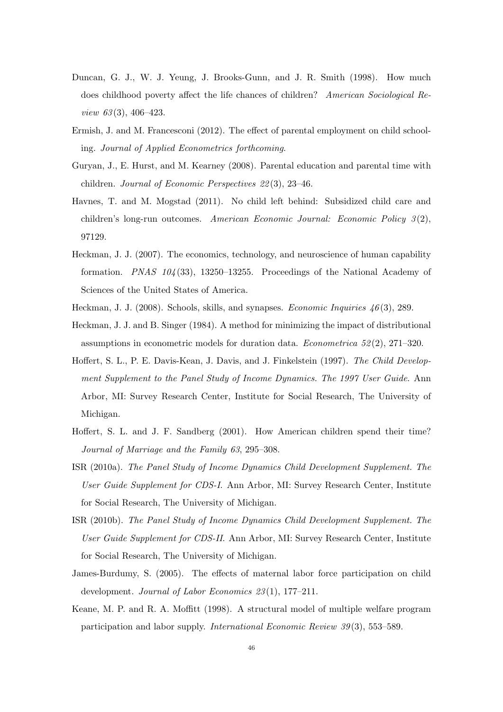- Duncan, G. J., W. J. Yeung, J. Brooks-Gunn, and J. R. Smith (1998). How much does childhood poverty affect the life chances of children? American Sociological Review 63(3), 406–423.
- Ermish, J. and M. Francesconi (2012). The effect of parental employment on child schooling. Journal of Applied Econometrics forthcoming.
- Guryan, J., E. Hurst, and M. Kearney (2008). Parental education and parental time with children. Journal of Economic Perspectives 22 (3), 23–46.
- Havnes, T. and M. Mogstad (2011). No child left behind: Subsidized child care and children's long-run outcomes. American Economic Journal: Economic Policy  $3(2)$ , 97129.
- Heckman, J. J. (2007). The economics, technology, and neuroscience of human capability formation. *PNAS*  $104(33)$ , 13250–13255. Proceedings of the National Academy of Sciences of the United States of America.
- Heckman, J. J. (2008). Schools, skills, and synapses. *Economic Inquiries* 46(3), 289.
- Heckman, J. J. and B. Singer (1984). A method for minimizing the impact of distributional assumptions in econometric models for duration data. *Econometrica*  $52(2)$ ,  $271-320$ .
- Hoffert, S. L., P. E. Davis-Kean, J. Davis, and J. Finkelstein (1997). The Child Development Supplement to the Panel Study of Income Dynamics. The 1997 User Guide. Ann Arbor, MI: Survey Research Center, Institute for Social Research, The University of Michigan.
- Hoffert, S. L. and J. F. Sandberg (2001). How American children spend their time? Journal of Marriage and the Family 63, 295–308.
- ISR (2010a). The Panel Study of Income Dynamics Child Development Supplement. The User Guide Supplement for CDS-I. Ann Arbor, MI: Survey Research Center, Institute for Social Research, The University of Michigan.
- ISR (2010b). The Panel Study of Income Dynamics Child Development Supplement. The User Guide Supplement for CDS-II. Ann Arbor, MI: Survey Research Center, Institute for Social Research, The University of Michigan.
- James-Burdumy, S. (2005). The effects of maternal labor force participation on child development. Journal of Labor Economics 23(1), 177-211.
- Keane, M. P. and R. A. Moffitt (1998). A structural model of multiple welfare program participation and labor supply. International Economic Review 39 (3), 553–589.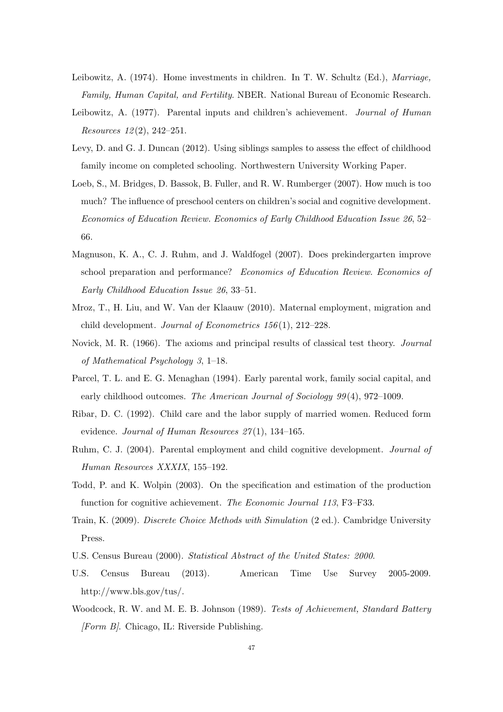- Leibowitz, A. (1974). Home investments in children. In T. W. Schultz (Ed.), Marriage, Family, Human Capital, and Fertility. NBER. National Bureau of Economic Research.
- Leibowitz, A. (1977). Parental inputs and children's achievement. *Journal of Human*  $Resources 12(2), 242-251.$
- Levy, D. and G. J. Duncan (2012). Using siblings samples to assess the effect of childhood family income on completed schooling. Northwestern University Working Paper.
- Loeb, S., M. Bridges, D. Bassok, B. Fuller, and R. W. Rumberger (2007). How much is too much? The influence of preschool centers on children's social and cognitive development. Economics of Education Review. Economics of Early Childhood Education Issue 26, 52– 66.
- Magnuson, K. A., C. J. Ruhm, and J. Waldfogel (2007). Does prekindergarten improve school preparation and performance? Economics of Education Review. Economics of Early Childhood Education Issue 26, 33–51.
- Mroz, T., H. Liu, and W. Van der Klaauw (2010). Maternal employment, migration and child development. Journal of Econometrics 156 (1), 212–228.
- Novick, M. R. (1966). The axioms and principal results of classical test theory. Journal of Mathematical Psychology 3, 1–18.
- Parcel, T. L. and E. G. Menaghan (1994). Early parental work, family social capital, and early childhood outcomes. The American Journal of Sociology 99(4), 972–1009.
- Ribar, D. C. (1992). Child care and the labor supply of married women. Reduced form evidence. Journal of Human Resources  $27(1)$ , 134–165.
- Ruhm, C. J. (2004). Parental employment and child cognitive development. Journal of Human Resources XXXIX, 155–192.
- Todd, P. and K. Wolpin (2003). On the specification and estimation of the production function for cognitive achievement. The Economic Journal 113, F3–F33.
- Train, K. (2009). Discrete Choice Methods with Simulation (2 ed.). Cambridge University Press.
- U.S. Census Bureau (2000). Statistical Abstract of the United States: 2000.
- U.S. Census Bureau (2013). American Time Use Survey 2005-2009. http://www.bls.gov/tus/.
- Woodcock, R. W. and M. E. B. Johnson (1989). Tests of Achievement, Standard Battery  $[Form B].$  Chicago, IL: Riverside Publishing.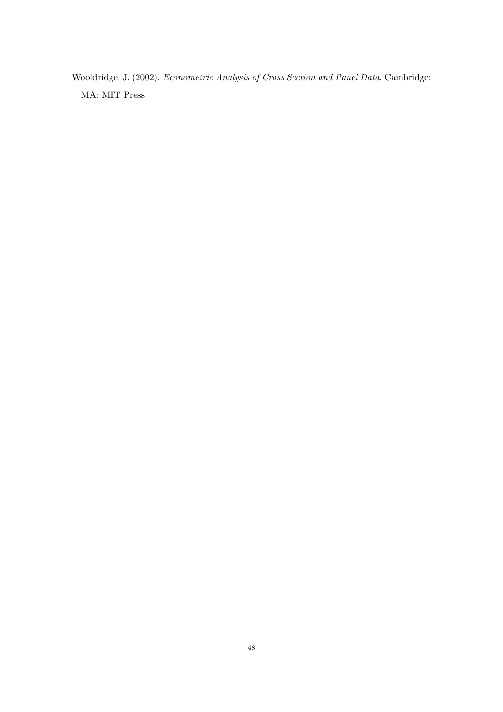Wooldridge, J. (2002). Econometric Analysis of Cross Section and Panel Data. Cambridge: MA: MIT Press.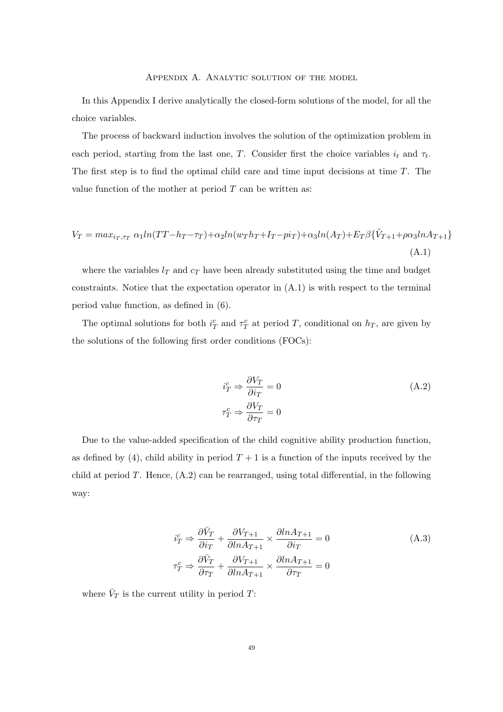## Appendix A. Analytic solution of the model

In this Appendix I derive analytically the closed-form solutions of the model, for all the choice variables.

The process of backward induction involves the solution of the optimization problem in each period, starting from the last one, T. Consider first the choice variables  $i_t$  and  $\tau_t$ . The first step is to find the optimal child care and time input decisions at time T. The value function of the mother at period  $T$  can be written as:

$$
V_T = max_{i_T, \tau_T} \alpha_1 ln(TT - h_T - \tau_T) + \alpha_2 ln(w_T h_T + I_T - pi_T) + \alpha_3 ln(A_T) + E_T \beta \{\tilde{V}_{T+1} + \rho \alpha_3 ln A_{T+1}\}
$$
\n(A.1)

where the variables  $l_T$  and  $c_T$  have been already substituted using the time and budget constraints. Notice that the expectation operator in (A.1) is with respect to the terminal period value function, as defined in (6).

The optimal solutions for both  $i_T^c$  and  $\tau_T^c$  at period T, conditional on  $h_T$ , are given by the solutions of the following first order conditions (FOCs):

$$
i_T^c \Rightarrow \frac{\partial V_T}{\partial i_T} = 0
$$
  
\n
$$
\tau_T^c \Rightarrow \frac{\partial V_T}{\partial \tau_T} = 0
$$
\n(A.2)

Due to the value-added specification of the child cognitive ability production function, as defined by (4), child ability in period  $T + 1$  is a function of the inputs received by the child at period  $T$ . Hence,  $(A.2)$  can be rearranged, using total differential, in the following way:

$$
\begin{aligned}\ni_T^c &\Rightarrow \frac{\partial \bar{V}_T}{\partial i_T} + \frac{\partial V_{T+1}}{\partial \ln A_{T+1}} \times \frac{\partial \ln A_{T+1}}{\partial i_T} = 0\\
\tau_T^c &\Rightarrow \frac{\partial \bar{V}_T}{\partial \tau_T} + \frac{\partial V_{T+1}}{\partial \ln A_{T+1}} \times \frac{\partial \ln A_{T+1}}{\partial \tau_T} = 0\n\end{aligned} \tag{A.3}
$$

where  $\bar{V}_T$  is the current utility in period T: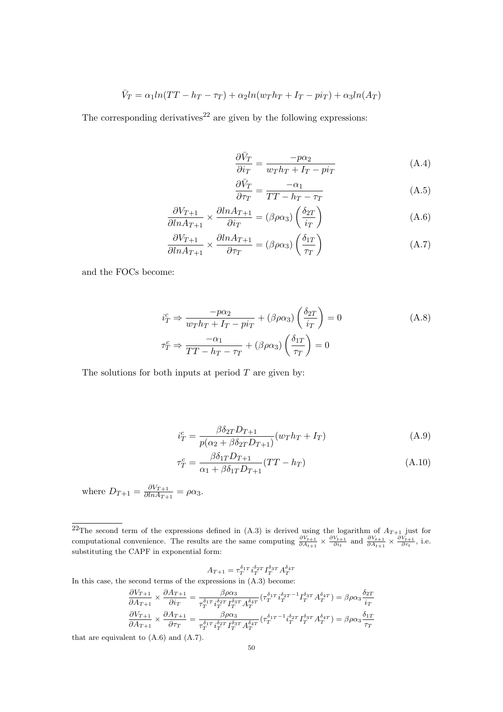$$
\bar{V}_T = \alpha_1 ln(TT - h_T - \tau_T) + \alpha_2 ln(w_T h_T + I_T - pi_T) + \alpha_3 ln(A_T)
$$

The corresponding derivatives<sup>22</sup> are given by the following expressions:

$$
\frac{\partial \bar{V}_T}{\partial i_T} = \frac{-p\alpha_2}{w_T h_T + I_T - p i_T} \tag{A.4}
$$

$$
\frac{\partial \bar{V}_T}{\partial \tau_T} = \frac{-\alpha_1}{TT - h_T - \tau_T} \tag{A.5}
$$

$$
\frac{\partial V_{T+1}}{\partial \ln A_{T+1}} \times \frac{\partial \ln A_{T+1}}{\partial i_T} = (\beta \rho \alpha_3) \left( \frac{\delta_{2T}}{i_T} \right)
$$
(A.6)

$$
\frac{\partial V_{T+1}}{\partial \ln A_{T+1}} \times \frac{\partial \ln A_{T+1}}{\partial \tau_T} = (\beta \rho \alpha_3) \left( \frac{\delta_{1T}}{\tau_T} \right)
$$
(A.7)

and the FOCs become:

$$
\begin{aligned}\ni_T^c &\Rightarrow \frac{-p\alpha_2}{w_T h_T + I_T - p i_T} + (\beta \rho \alpha_3) \left(\frac{\delta_{2T}}{i_T}\right) = 0 \\
\tau_T^c &\Rightarrow \frac{-\alpha_1}{TT - h_T - \tau_T} + (\beta \rho \alpha_3) \left(\frac{\delta_{1T}}{\tau_T}\right) = 0\n\end{aligned} \tag{A.8}
$$

The solutions for both inputs at period  $T$  are given by:

$$
i_T^c = \frac{\beta \delta_{2T} D_{T+1}}{p(\alpha_2 + \beta \delta_{2T} D_{T+1})} (w_T h_T + I_T)
$$
\n(A.9)

$$
\tau_T^c = \frac{\beta \delta_{1T} D_{T+1}}{\alpha_1 + \beta \delta_{1T} D_{T+1}} (TT - h_T) \tag{A.10}
$$

where  $D_{T+1} = \frac{\partial V_{T+1}}{\partial \ln A_{T+1}}$  $\frac{\partial v_{T+1}}{\partial \ln A_{T+1}} = \rho \alpha_3.$ 

$$
A_{T+1} = \tau_T^{\delta_{1T}} i_T^{\delta_{2T}} I_T^{\delta_{3T}} A_T^{\delta_{4T}}
$$

In this case, the second terms of the expressions in (A.3) become:

$$
\frac{\partial V_{T+1}}{\partial A_{T+1}} \times \frac{\partial A_{T+1}}{\partial i_T} = \frac{\beta \rho \alpha_3}{\tau_T^{\delta_1 T} i_T^{\delta_2 T} I_T^{\delta_3 T} A_T^{\delta_4 T}} (\tau_T^{\delta_1 T} i_T^{\delta_2 T-1} I_T^{\delta_3 T} A_T^{\delta_4 T}) = \beta \rho \alpha_3 \frac{\delta_{2T}}{i_T}
$$

$$
\frac{\partial V_{T+1}}{\partial A_{T+1}} \times \frac{\partial A_{T+1}}{\partial \tau_T} = \frac{\beta \rho \alpha_3}{\tau_T^{\delta_1 T} i_T^{\delta_2 T} I_T^{\delta_3 T} A_T^{\delta_4 T}} (\tau_T^{\delta_1 T-1} i_T^{\delta_2 T} I_T^{\delta_3 T} A_T^{\delta_4 T}) = \beta \rho \alpha_3 \frac{\delta_{1T}}{\tau_T}
$$

that are equivalent to (A.6) and (A.7).

<sup>&</sup>lt;sup>22</sup>The second term of the expressions defined in (A.3) is derived using the logarithm of  $A_{T+1}$  just for computational convenience. The results are the same computing  $\frac{\partial V_{t+1}}{\partial A_{t+1}} \times \frac{\partial V_{t+1}}{\partial A_{t+1}} \times \frac{\partial V_{t+1}}{\partial \tau_t}$ , i.e. substituting the CAPF in exponential form: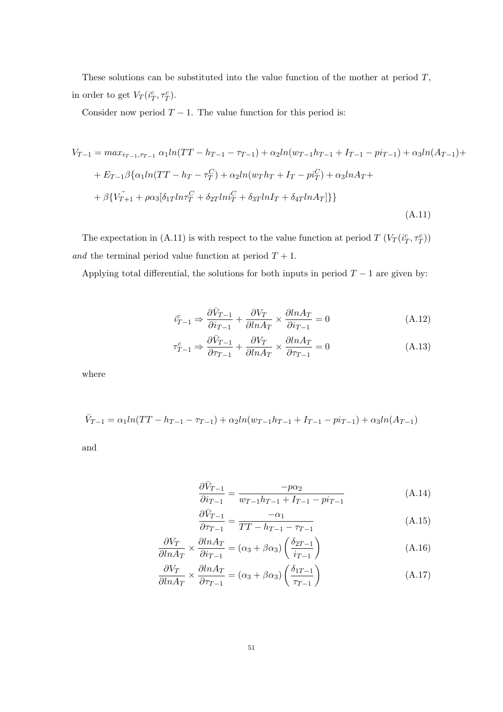These solutions can be substituted into the value function of the mother at period  $T$ , in order to get  $V_T(i_T^c, \tau_T^c)$ .

Consider now period  $T - 1$ . The value function for this period is:

$$
V_{T-1} = max_{i_{T-1}, \tau_{T-1}} \alpha_1 ln(TT - h_{T-1} - \tau_{T-1}) + \alpha_2 ln(w_{T-1}h_{T-1} + I_{T-1} - pi_{T-1}) + \alpha_3 ln(A_{T-1}) +
$$
  
+ 
$$
E_{T-1} \beta \{ \alpha_1 ln(TT - h_T - \tau_T^C) + \alpha_2 ln(w_T h_T + I_T - pi_T^C) + \alpha_3 lnA_T +
$$
  
+ 
$$
\beta \{ V_{T+1} + \rho \alpha_3 [\delta_{1T} ln \tau_T^C + \delta_{2T} ln i_T^C + \delta_{3T} lnI_T + \delta_{4T} lnA_T ] \} \}
$$
(A.11)

The expectation in (A.11) is with respect to the value function at period  $T(V_T(i_T^c, \tau_T^c))$  $\emph{and}$  the terminal period value function at period  $T+1.$ 

Applying total differential, the solutions for both inputs in period  $T - 1$  are given by:

$$
\dot{i}_{T-1}^c \Rightarrow \frac{\partial \bar{V}_{T-1}}{\partial i_{T-1}} + \frac{\partial V_T}{\partial \ln A_T} \times \frac{\partial \ln A_T}{\partial i_{T-1}} = 0 \tag{A.12}
$$

$$
\tau_{T-1}^c \Rightarrow \frac{\partial \bar{V}_{T-1}}{\partial \tau_{T-1}} + \frac{\partial V_T}{\partial \ln A_T} \times \frac{\partial \ln A_T}{\partial \tau_{T-1}} = 0 \tag{A.13}
$$

where

$$
\bar{V}_{T-1} = \alpha_1 ln(TT - h_{T-1} - \tau_{T-1}) + \alpha_2 ln(w_{T-1}h_{T-1} + I_{T-1} - pi_{T-1}) + \alpha_3 ln(A_{T-1})
$$

and

$$
\frac{\partial \bar{V}_{T-1}}{\partial i_{T-1}} = \frac{-p\alpha_2}{w_{T-1}h_{T-1} + I_{T-1} - p i_{T-1}}\tag{A.14}
$$

$$
\frac{\partial \bar{V}_{T-1}}{\partial \tau_{T-1}} = \frac{-\alpha_1}{TT - h_{T-1} - \tau_{T-1}}\tag{A.15}
$$

$$
\frac{\partial V_T}{\partial \ln A_T} \times \frac{\partial \ln A_T}{\partial i_{T-1}} = (\alpha_3 + \beta \alpha_3) \left( \frac{\delta_{2T-1}}{i_{T-1}} \right)
$$
(A.16)

$$
\frac{\partial V_T}{\partial \ln A_T} \times \frac{\partial \ln A_T}{\partial \tau_{T-1}} = (\alpha_3 + \beta \alpha_3) \left( \frac{\delta_{1T-1}}{\tau_{T-1}} \right)
$$
(A.17)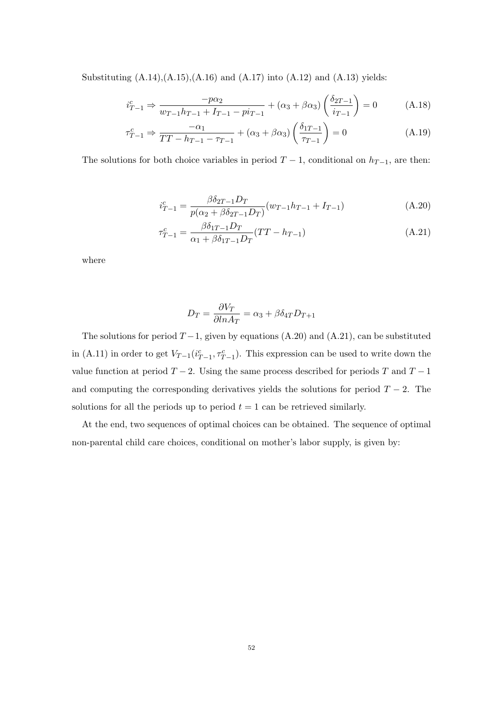Substituting  $(A.14),(A.15),(A.16)$  and  $(A.17)$  into  $(A.12)$  and  $(A.13)$  yields:

$$
i_{T-1}^c \Rightarrow \frac{-p\alpha_2}{w_{T-1}h_{T-1} + I_{T-1} - p i_{T-1}} + (\alpha_3 + \beta \alpha_3) \left(\frac{\delta_{2T-1}}{i_{T-1}}\right) = 0 \tag{A.18}
$$

$$
\tau_{T-1}^c \Rightarrow \frac{-\alpha_1}{TT - h_{T-1} - \tau_{T-1}} + (\alpha_3 + \beta \alpha_3) \left(\frac{\delta_{1T-1}}{\tau_{T-1}}\right) = 0 \tag{A.19}
$$

The solutions for both choice variables in period  $T-1$ , conditional on  $h_{T-1}$ , are then:

$$
i_{T-1}^c = \frac{\beta \delta_{2T-1} D_T}{p(\alpha_2 + \beta \delta_{2T-1} D_T)} (w_{T-1} h_{T-1} + I_{T-1})
$$
(A.20)

$$
\tau_{T-1}^c = \frac{\beta \delta_{1T-1} D_T}{\alpha_1 + \beta \delta_{1T-1} D_T} (TT - h_{T-1})
$$
\n(A.21)

where

$$
D_T = \frac{\partial V_T}{\partial \ln A_T} = \alpha_3 + \beta \delta_{4T} D_{T+1}
$$

The solutions for period  $T-1$ , given by equations (A.20) and (A.21), can be substituted in (A.11) in order to get  $V_{T-1}(i_{T-1}^c, \tau_{T-1}^c)$ . This expression can be used to write down the value function at period  $T - 2$ . Using the same process described for periods T and  $T - 1$ and computing the corresponding derivatives yields the solutions for period  $T - 2$ . The solutions for all the periods up to period  $t = 1$  can be retrieved similarly.

At the end, two sequences of optimal choices can be obtained. The sequence of optimal non-parental child care choices, conditional on mother's labor supply, is given by: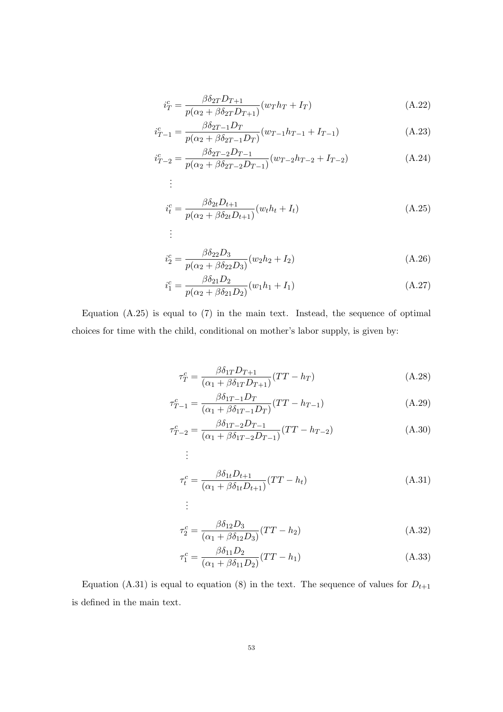$$
i_T^c = \frac{\beta \delta_{2T} D_{T+1}}{p(\alpha_2 + \beta \delta_{2T} D_{T+1})} (w_T h_T + I_T)
$$
\n(A.22)

$$
i_{T-1}^c = \frac{\beta \delta_{2T-1} D_T}{p(\alpha_2 + \beta \delta_{2T-1} D_T)} (w_{T-1} h_{T-1} + I_{T-1})
$$
(A.23)

$$
i_{T-2}^c = \frac{\beta \delta_{2T-2} D_{T-1}}{p(\alpha_2 + \beta \delta_{2T-2} D_{T-1})} (w_{T-2} h_{T-2} + I_{T-2})
$$
(A.24)  
...

$$
i_t^c = \frac{\beta \delta_{2t} D_{t+1}}{p(\alpha_2 + \beta \delta_{2t} D_{t+1})} (w_t h_t + I_t)
$$
\n
$$
\vdots
$$
\n(A.25)

$$
i_2^c = \frac{\beta \delta_{22} D_3}{p(\alpha_2 + \beta \delta_{22} D_3)} (w_2 h_2 + I_2)
$$
\n(A.26)

$$
i_1^c = \frac{\beta \delta_{21} D_2}{p(\alpha_2 + \beta \delta_{21} D_2)} (w_1 h_1 + I_1)
$$
\n(A.27)

Equation (A.25) is equal to (7) in the main text. Instead, the sequence of optimal choices for time with the child, conditional on mother's labor supply, is given by:

. . .

$$
\tau_T^c = \frac{\beta \delta_{1T} D_{T+1}}{(\alpha_1 + \beta \delta_{1T} D_{T+1})} (TT - h_T)
$$
\n(A.28)

$$
\tau_{T-1}^c = \frac{\beta \delta_{1T-1} D_T}{(\alpha_1 + \beta \delta_{1T-1} D_T)} (TT - h_{T-1})
$$
\n(A.29)

$$
\tau_{T-2}^c = \frac{\beta \delta_{1T-2} D_{T-1}}{(\alpha_1 + \beta \delta_{1T-2} D_{T-1})} (TT - h_{T-2})
$$
\n(A.30)

$$
\tau_t^c = \frac{\beta \delta_{1t} D_{t+1}}{(\alpha_1 + \beta \delta_{1t} D_{t+1})} (TT - h_t)
$$
\n
$$
\vdots
$$
\n(A.31)

$$
\tau_2^c = \frac{\beta \delta_{12} D_3}{(\alpha_1 + \beta \delta_{12} D_3)} (TT - h_2)
$$
\n(A.32)

$$
\tau_1^c = \frac{\beta \delta_{11} D_2}{(\alpha_1 + \beta \delta_{11} D_2)} (TT - h_1)
$$
\n(A.33)

Equation (A.31) is equal to equation (8) in the text. The sequence of values for  $D_{t+1}$ is defined in the main text.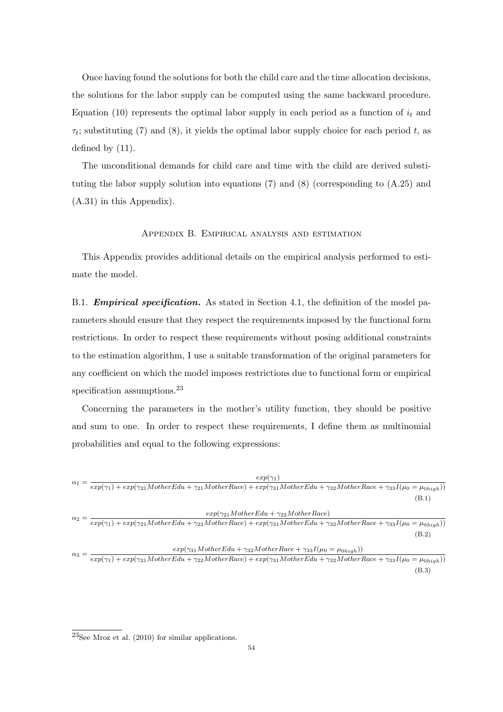Once having found the solutions for both the child care and the time allocation decisions, the solutions for the labor supply can be computed using the same backward procedure. Equation (10) represents the optimal labor supply in each period as a function of  $i_t$  and  $\tau_t$ ; substituting (7) and (8), it yields the optimal labor supply choice for each period t, as defined by (11).

The unconditional demands for child care and time with the child are derived substituting the labor supply solution into equations (7) and (8) (corresponding to (A.25) and (A.31) in this Appendix).

## Appendix B. Empirical analysis and estimation

This Appendix provides additional details on the empirical analysis performed to estimate the model.

B.1. **Empirical specification.** As stated in Section 4.1, the definition of the model parameters should ensure that they respect the requirements imposed by the functional form restrictions. In order to respect these requirements without posing additional constraints to the estimation algorithm, I use a suitable transformation of the original parameters for any coefficient on which the model imposes restrictions due to functional form or empirical specification assumptions.<sup>23</sup>

Concerning the parameters in the mother's utility function, they should be positive and sum to one. In order to respect these requirements, I define them as multinomial probabilities and equal to the following expressions:

|              | $exp(\gamma_1)$                                                                                                                                                        |  |
|--------------|------------------------------------------------------------------------------------------------------------------------------------------------------------------------|--|
| $\alpha_1$   | $\overline{exp(\gamma_1)+exp(\gamma_{21}MotherE}du + \gamma_{21}MotherRace) + exp(\gamma_{31}MotherE}du + \gamma_{32} MotherRace + \gamma_{33}I(\mu_0 = \mu_{0high}))$ |  |
|              | (B.1)                                                                                                                                                                  |  |
|              | $exp(\gamma_{21} MotherEdu + \gamma_{22} MotherRace)$                                                                                                                  |  |
| $\alpha_2 =$ | $exp(\gamma_1) + exp(\gamma_{21} MotherEdu + \gamma_{22} MotherRace) + exp(\gamma_{31} MotherEdu + \gamma_{32} MotherRace + \gamma_{33}I(\mu_0 = \mu_0_{high}))$       |  |
|              | (B.2)                                                                                                                                                                  |  |
|              | $exp(\gamma_{31} MotherEdu + \gamma_{32} MotherRace + \gamma_{33}I(\mu_0 = \mu_{0high}))$                                                                              |  |
| $\alpha_3 =$ | $exp(\gamma_1) + exp(\gamma_{21} MotherEdu + \gamma_{22} MotherRace) + exp(\gamma_{31} MotherEdu + \gamma_{32} MotherRace + \gamma_{33}I(\mu_0 = \mu_0_{high}))$       |  |
|              | (B.3)                                                                                                                                                                  |  |

 $^{23}\!\mathrm{See}$  Mroz et al. (2010) for similar applications.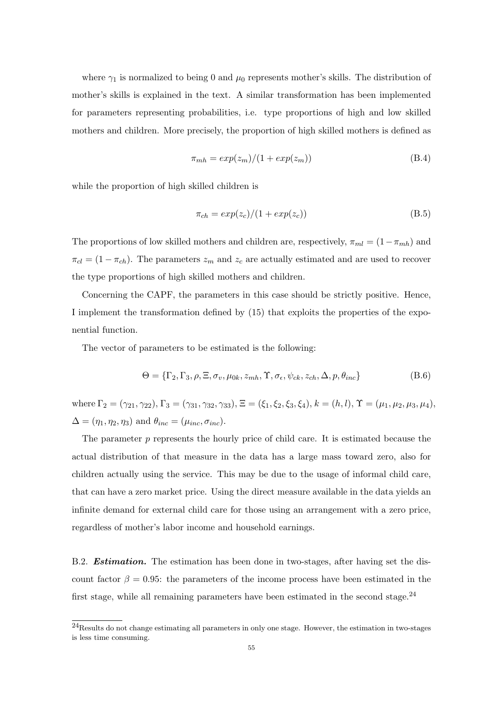where  $\gamma_1$  is normalized to being 0 and  $\mu_0$  represents mother's skills. The distribution of mother's skills is explained in the text. A similar transformation has been implemented for parameters representing probabilities, i.e. type proportions of high and low skilled mothers and children. More precisely, the proportion of high skilled mothers is defined as

$$
\pi_{mh} = \exp(z_m)/(1 + \exp(z_m))
$$
\n(B.4)

while the proportion of high skilled children is

$$
\pi_{ch} = \exp(z_c)/(1 + \exp(z_c))\tag{B.5}
$$

The proportions of low skilled mothers and children are, respectively,  $\pi_{ml} = (1 - \pi_{mh})$  and  $\pi_{cl} = (1 - \pi_{ch})$ . The parameters  $z_m$  and  $z_c$  are actually estimated and are used to recover the type proportions of high skilled mothers and children.

Concerning the CAPF, the parameters in this case should be strictly positive. Hence, I implement the transformation defined by (15) that exploits the properties of the exponential function.

The vector of parameters to be estimated is the following:

$$
\Theta = \{\Gamma_2, \Gamma_3, \rho, \Xi, \sigma_v, \mu_{0k}, z_{mh}, \Upsilon, \sigma_\epsilon, \psi_{ck}, z_{ch}, \Delta, p, \theta_{inc}\}
$$
(B.6)

where  $\Gamma_2 = (\gamma_{21}, \gamma_{22}), \Gamma_3 = (\gamma_{31}, \gamma_{32}, \gamma_{33}), \Xi = (\xi_1, \xi_2, \xi_3, \xi_4), k = (h, l), \Upsilon = (\mu_1, \mu_2, \mu_3, \mu_4),$  $\Delta = (\eta_1, \eta_2, \eta_3)$  and  $\theta_{inc} = (\mu_{inc}, \sigma_{inc}).$ 

The parameter  $p$  represents the hourly price of child care. It is estimated because the actual distribution of that measure in the data has a large mass toward zero, also for children actually using the service. This may be due to the usage of informal child care, that can have a zero market price. Using the direct measure available in the data yields an infinite demand for external child care for those using an arrangement with a zero price, regardless of mother's labor income and household earnings.

B.2. **Estimation.** The estimation has been done in two-stages, after having set the discount factor  $\beta = 0.95$ : the parameters of the income process have been estimated in the first stage, while all remaining parameters have been estimated in the second stage.<sup>24</sup>

<sup>24</sup>Results do not change estimating all parameters in only one stage. However, the estimation in two-stages is less time consuming.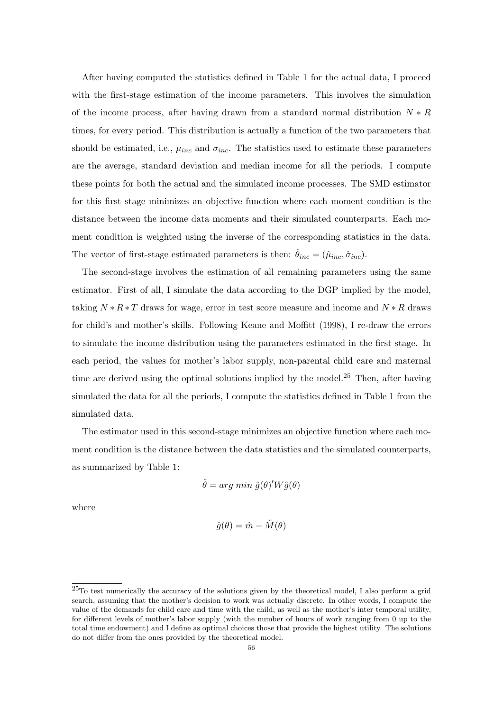After having computed the statistics defined in Table 1 for the actual data, I proceed with the first-stage estimation of the income parameters. This involves the simulation of the income process, after having drawn from a standard normal distribution  $N * R$ times, for every period. This distribution is actually a function of the two parameters that should be estimated, i.e.,  $\mu_{inc}$  and  $\sigma_{inc}$ . The statistics used to estimate these parameters are the average, standard deviation and median income for all the periods. I compute these points for both the actual and the simulated income processes. The SMD estimator for this first stage minimizes an objective function where each moment condition is the distance between the income data moments and their simulated counterparts. Each moment condition is weighted using the inverse of the corresponding statistics in the data. The vector of first-stage estimated parameters is then:  $\hat{\theta}_{inc} = (\hat{\mu}_{inc}, \hat{\sigma}_{inc})$ .

The second-stage involves the estimation of all remaining parameters using the same estimator. First of all, I simulate the data according to the DGP implied by the model, taking  $N * R * T$  draws for wage, error in test score measure and income and  $N * R$  draws for child's and mother's skills. Following Keane and Moffitt (1998), I re-draw the errors to simulate the income distribution using the parameters estimated in the first stage. In each period, the values for mother's labor supply, non-parental child care and maternal time are derived using the optimal solutions implied by the model.<sup>25</sup> Then, after having simulated the data for all the periods, I compute the statistics defined in Table 1 from the simulated data.

The estimator used in this second-stage minimizes an objective function where each moment condition is the distance between the data statistics and the simulated counterparts, as summarized by Table 1:

$$
\hat{\theta} = arg min \ \hat{g}(\theta)' W \hat{g}(\theta)
$$

where

$$
\hat{g}(\theta) = \hat{m} - \hat{M}(\theta)
$$

<sup>25</sup>To test numerically the accuracy of the solutions given by the theoretical model, I also perform a grid search, assuming that the mother's decision to work was actually discrete. In other words, I compute the value of the demands for child care and time with the child, as well as the mother's inter temporal utility, for different levels of mother's labor supply (with the number of hours of work ranging from 0 up to the total time endowment) and I define as optimal choices those that provide the highest utility. The solutions do not differ from the ones provided by the theoretical model.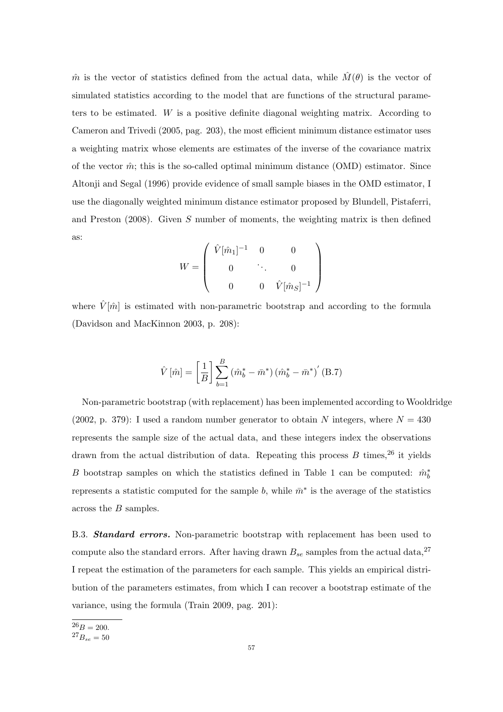$\hat{m}$  is the vector of statistics defined from the actual data, while  $\hat{M}(\theta)$  is the vector of simulated statistics according to the model that are functions of the structural parameters to be estimated. W is a positive definite diagonal weighting matrix. According to Cameron and Trivedi (2005, pag. 203), the most efficient minimum distance estimator uses a weighting matrix whose elements are estimates of the inverse of the covariance matrix of the vector  $\hat{m}$ ; this is the so-called optimal minimum distance (OMD) estimator. Since Altonji and Segal (1996) provide evidence of small sample biases in the OMD estimator, I use the diagonally weighted minimum distance estimator proposed by Blundell, Pistaferri, and Preston  $(2008)$ . Given S number of moments, the weighting matrix is then defined as:

$$
W = \left( \begin{array}{cccc} \hat{V}[\hat{m}_1]^{-1} & 0 & 0 \\ 0 & \ddots & 0 \\ 0 & 0 & \hat{V}[\hat{m}_S]^{-1} \end{array} \right)
$$

where  $\hat{V}[\hat{m}]$  is estimated with non-parametric bootstrap and according to the formula (Davidson and MacKinnon 2003, p. 208):

$$
\hat{V}[\hat{m}] = \left[\frac{1}{B}\right] \sum_{b=1}^{B} (\hat{m}_b^* - \bar{m}^*) (\hat{m}_b^* - \bar{m}^*)' (\text{B.7})
$$

Non-parametric bootstrap (with replacement) has been implemented according to Wooldridge (2002, p. 379): I used a random number generator to obtain N integers, where  $N = 430$ represents the sample size of the actual data, and these integers index the observations drawn from the actual distribution of data. Repeating this process  $B$  times,  $26$  it yields B bootstrap samples on which the statistics defined in Table 1 can be computed:  $\hat{m}_{b}^{*}$ represents a statistic computed for the sample b, while  $\bar{m}^*$  is the average of the statistics across the B samples.

B.3. **Standard errors.** Non-parametric bootstrap with replacement has been used to compute also the standard errors. After having drawn  $B_{se}$  samples from the actual data,<sup>27</sup> I repeat the estimation of the parameters for each sample. This yields an empirical distribution of the parameters estimates, from which I can recover a bootstrap estimate of the variance, using the formula (Train 2009, pag. 201):

 $26B = 200.$ 

 $^{27}B_{se} = 50$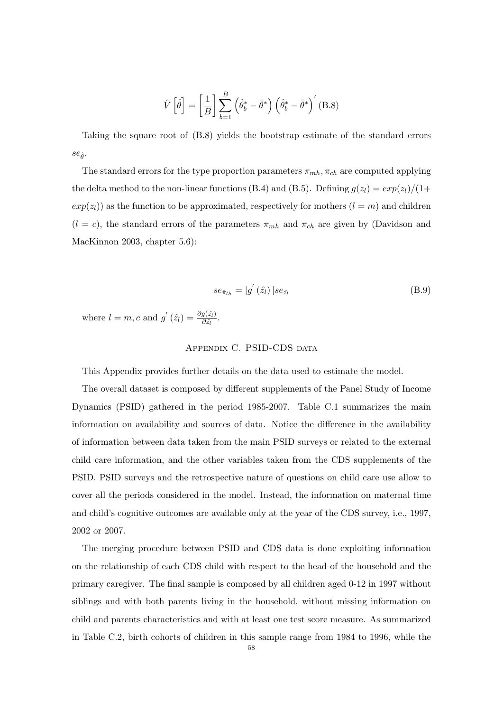$$
\hat{V}\left[\hat{\theta}\right] = \left[\frac{1}{B}\right] \sum_{b=1}^{B} \left(\hat{\theta}_{b}^{*} - \bar{\theta}^{*}\right) \left(\hat{\theta}_{b}^{*} - \bar{\theta}^{*}\right)'
$$
 (B.8)

Taking the square root of (B.8) yields the bootstrap estimate of the standard errors  $se_{\hat{\theta}}$ .

The standard errors for the type proportion parameters  $\pi_{mh}$ ,  $\pi_{ch}$  are computed applying the delta method to the non-linear functions (B.4) and (B.5). Defining  $g(z_l) = exp(z_l)/(1+$  $exp(z_l)$  as the function to be approximated, respectively for mothers  $(l = m)$  and children  $(l = c)$ , the standard errors of the parameters  $\pi_{mh}$  and  $\pi_{ch}$  are given by (Davidson and MacKinnon 2003, chapter 5.6):

$$
se_{\hat{\pi}_{lh}} = |g'(\hat{z}_l)| se_{\hat{z}_l}
$$
 (B.9)

where  $l = m, c$  and  $g'(\hat{z}_l) = \frac{\partial g(\hat{z}_l)}{\partial \hat{z}_l}$ .

## APPENDIX C. PSID-CDS DATA

This Appendix provides further details on the data used to estimate the model.

The overall dataset is composed by different supplements of the Panel Study of Income Dynamics (PSID) gathered in the period 1985-2007. Table C.1 summarizes the main information on availability and sources of data. Notice the difference in the availability of information between data taken from the main PSID surveys or related to the external child care information, and the other variables taken from the CDS supplements of the PSID. PSID surveys and the retrospective nature of questions on child care use allow to cover all the periods considered in the model. Instead, the information on maternal time and child's cognitive outcomes are available only at the year of the CDS survey, i.e., 1997, 2002 or 2007.

The merging procedure between PSID and CDS data is done exploiting information on the relationship of each CDS child with respect to the head of the household and the primary caregiver. The final sample is composed by all children aged 0-12 in 1997 without siblings and with both parents living in the household, without missing information on child and parents characteristics and with at least one test score measure. As summarized in Table C.2, birth cohorts of children in this sample range from 1984 to 1996, while the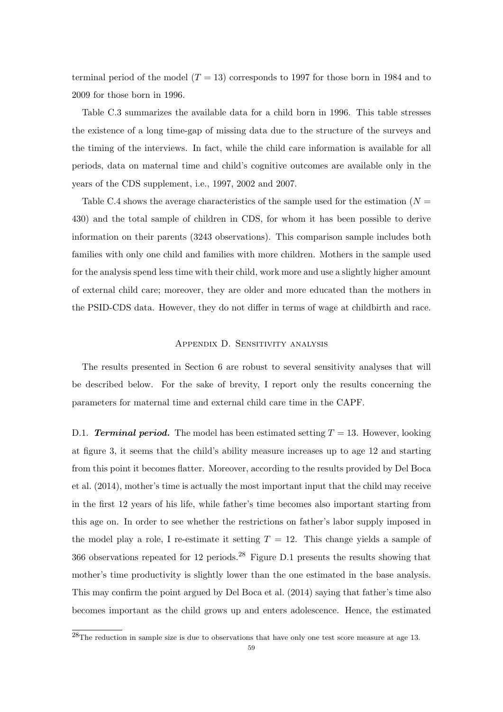terminal period of the model  $(T = 13)$  corresponds to 1997 for those born in 1984 and to 2009 for those born in 1996.

Table C.3 summarizes the available data for a child born in 1996. This table stresses the existence of a long time-gap of missing data due to the structure of the surveys and the timing of the interviews. In fact, while the child care information is available for all periods, data on maternal time and child's cognitive outcomes are available only in the years of the CDS supplement, i.e., 1997, 2002 and 2007.

Table C.4 shows the average characteristics of the sample used for the estimation ( $N =$ 430) and the total sample of children in CDS, for whom it has been possible to derive information on their parents (3243 observations). This comparison sample includes both families with only one child and families with more children. Mothers in the sample used for the analysis spend less time with their child, work more and use a slightly higher amount of external child care; moreover, they are older and more educated than the mothers in the PSID-CDS data. However, they do not differ in terms of wage at childbirth and race.

### Appendix D. Sensitivity analysis

The results presented in Section 6 are robust to several sensitivity analyses that will be described below. For the sake of brevity, I report only the results concerning the parameters for maternal time and external child care time in the CAPF.

D.1. **Terminal period.** The model has been estimated setting  $T = 13$ . However, looking at figure 3, it seems that the child's ability measure increases up to age 12 and starting from this point it becomes flatter. Moreover, according to the results provided by Del Boca et al. (2014), mother's time is actually the most important input that the child may receive in the first 12 years of his life, while father's time becomes also important starting from this age on. In order to see whether the restrictions on father's labor supply imposed in the model play a role, I re-estimate it setting  $T = 12$ . This change yields a sample of 366 observations repeated for 12 periods.<sup>28</sup> Figure D.1 presents the results showing that mother's time productivity is slightly lower than the one estimated in the base analysis. This may confirm the point argued by Del Boca et al. (2014) saying that father's time also becomes important as the child grows up and enters adolescence. Hence, the estimated

 $^{28}$ The reduction in sample size is due to observations that have only one test score measure at age 13.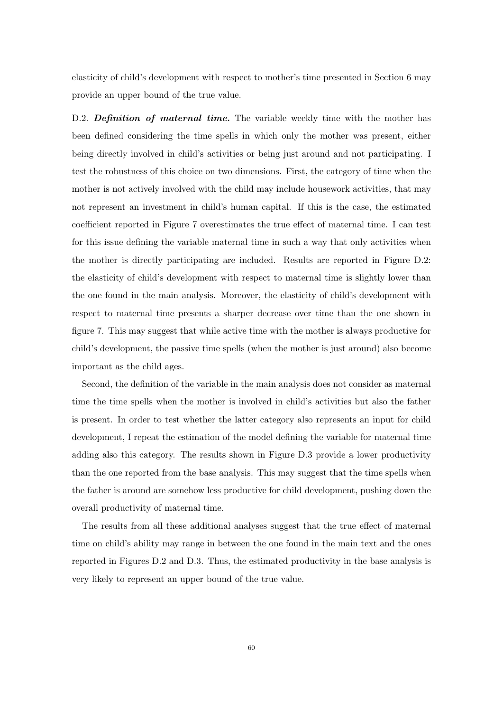elasticity of child's development with respect to mother's time presented in Section 6 may provide an upper bound of the true value.

D.2. **Definition of maternal time.** The variable weekly time with the mother has been defined considering the time spells in which only the mother was present, either being directly involved in child's activities or being just around and not participating. I test the robustness of this choice on two dimensions. First, the category of time when the mother is not actively involved with the child may include housework activities, that may not represent an investment in child's human capital. If this is the case, the estimated coefficient reported in Figure 7 overestimates the true effect of maternal time. I can test for this issue defining the variable maternal time in such a way that only activities when the mother is directly participating are included. Results are reported in Figure D.2: the elasticity of child's development with respect to maternal time is slightly lower than the one found in the main analysis. Moreover, the elasticity of child's development with respect to maternal time presents a sharper decrease over time than the one shown in figure 7. This may suggest that while active time with the mother is always productive for child's development, the passive time spells (when the mother is just around) also become important as the child ages.

Second, the definition of the variable in the main analysis does not consider as maternal time the time spells when the mother is involved in child's activities but also the father is present. In order to test whether the latter category also represents an input for child development, I repeat the estimation of the model defining the variable for maternal time adding also this category. The results shown in Figure D.3 provide a lower productivity than the one reported from the base analysis. This may suggest that the time spells when the father is around are somehow less productive for child development, pushing down the overall productivity of maternal time.

The results from all these additional analyses suggest that the true effect of maternal time on child's ability may range in between the one found in the main text and the ones reported in Figures D.2 and D.3. Thus, the estimated productivity in the base analysis is very likely to represent an upper bound of the true value.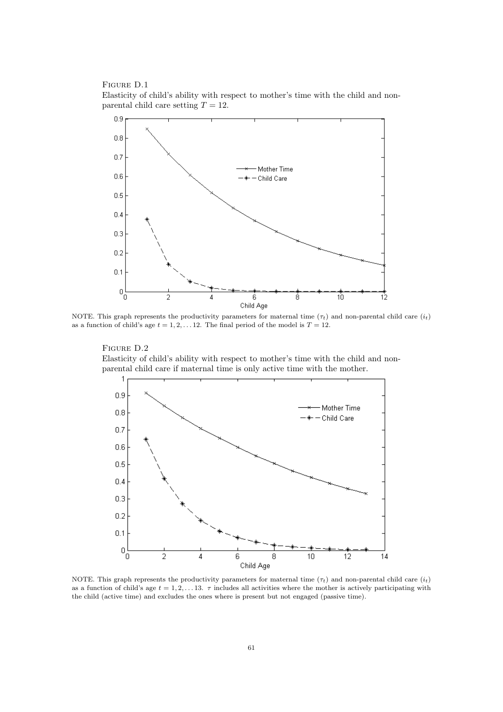Figure D.1 Elasticity of child's ability with respect to mother's time with the child and nonparental child care setting  $T = 12$ .



NOTE. This graph represents the productivity parameters for maternal time  $(\tau_t)$  and non-parental child care  $(i_t)$ as a function of child's age  $t = 1, 2, \ldots 12$ . The final period of the model is  $T = 12$ .

FIGURE D.2 Elasticity of child's ability with respect to mother's time with the child and nonparental child care if maternal time is only active time with the mother.



NOTE. This graph represents the productivity parameters for maternal time  $(\tau_t)$  and non-parental child care  $(i_t)$ as a function of child's age  $t = 1, 2, \ldots 13$ .  $\tau$  includes all activities where the mother is actively participating with the child (active time) and excludes the ones where is present but not engaged (passive time).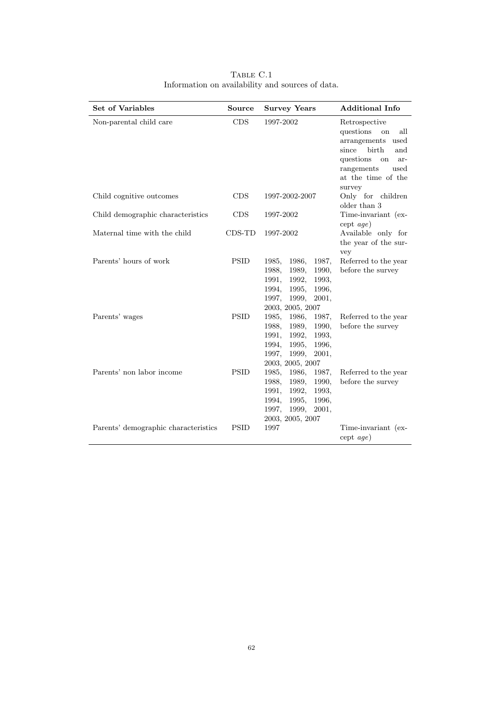| <b>Set of Variables</b>              | <b>Source</b> | <b>Survey Years</b>                                                                                                                                     | <b>Additional Info</b>                                                                                                                                                |
|--------------------------------------|---------------|---------------------------------------------------------------------------------------------------------------------------------------------------------|-----------------------------------------------------------------------------------------------------------------------------------------------------------------------|
| Non-parental child care              | CDS           | 1997-2002                                                                                                                                               | Retrospective<br>questions<br>all<br>on<br>arrangements used<br>since<br>birth<br>and<br>questions<br>on<br>ar-<br>rangements<br>used<br>at the time of the<br>survey |
| Child cognitive outcomes             | <b>CDS</b>    | 1997-2002-2007                                                                                                                                          | Only for children<br>older than 3                                                                                                                                     |
| Child demographic characteristics    | <b>CDS</b>    | 1997-2002                                                                                                                                               | Time-invariant (ex-<br>$\text{cept } age)$                                                                                                                            |
| Maternal time with the child         | $CDS-TD$      | 1997-2002                                                                                                                                               | Available only for<br>the year of the sur-<br>vey                                                                                                                     |
| Parents' hours of work               | <b>PSID</b>   | 1986,<br>1987.<br>1985,<br>1989,<br>1990.<br>1988.<br>1991.<br>1992,<br>1993,<br>1995,<br>1996,<br>1994,<br>1999,<br>2001,<br>1997,<br>2003, 2005, 2007 | Referred to the year<br>before the survey                                                                                                                             |
| Parents' wages                       | <b>PSID</b>   | 1985,<br>1986,<br>1987,<br>1988,<br>1989,<br>1990,<br>1991,<br>1992,<br>1993,<br>1996,<br>1994,<br>1995,<br>1999,<br>2001,<br>1997,<br>2003, 2005, 2007 | Referred to the year<br>before the survey                                                                                                                             |
| Parents' non labor income            | <b>PSID</b>   | 1986,<br>1987.<br>1985,<br>1989,<br>1990.<br>1988,<br>1991,<br>1992,<br>1993.<br>1995.<br>1996.<br>1994,<br>1999,<br>2001,<br>1997,<br>2003, 2005, 2007 | Referred to the year<br>before the survey                                                                                                                             |
| Parents' demographic characteristics | <b>PSID</b>   | 1997                                                                                                                                                    | Time-invariant (ex-<br>$\text{cept } age)$                                                                                                                            |

Table C.1 Information on availability and sources of data.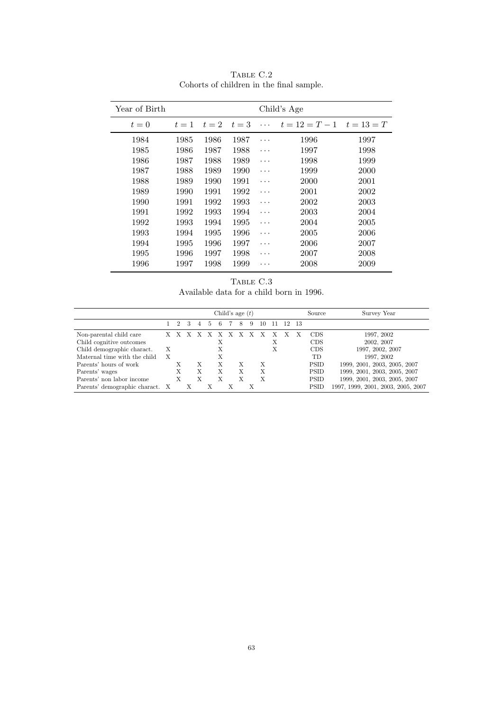| Year of Birth |       |       | Child's Age |          |                               |      |
|---------------|-------|-------|-------------|----------|-------------------------------|------|
| $t=0$         | $t=1$ | $t=2$ | $t=3$       | $\cdots$ | $t = 12 = T - 1$ $t = 13 = T$ |      |
| 1984          | 1985  | 1986  | 1987        | .        | 1996                          | 1997 |
| 1985          | 1986  | 1987  | 1988        | .        | 1997                          | 1998 |
| 1986          | 1987  | 1988  | 1989        | .        | 1998                          | 1999 |
| 1987          | 1988  | 1989  | 1990        | .        | 1999                          | 2000 |
| 1988          | 1989  | 1990  | 1991        | .        | 2000                          | 2001 |
| 1989          | 1990  | 1991  | 1992        | $\cdots$ | 2001                          | 2002 |
| 1990          | 1991  | 1992  | 1993        | .        | 2002                          | 2003 |
| 1991          | 1992  | 1993  | 1994        | .        | 2003                          | 2004 |
| 1992          | 1993  | 1994  | 1995        | .        | 2004                          | 2005 |
| 1993          | 1994  | 1995  | 1996        | .        | 2005                          | 2006 |
| 1994          | 1995  | 1996  | 1997        | .        | 2006                          | 2007 |
| 1995          | 1996  | 1997  | 1998        | .        | 2007                          | 2008 |
| 1996          | 1997  | 1998  | 1999        | .        | 2008                          | 2009 |

Table C.2 Cohorts of children in the final sample.

TABLE C.3 Available data for a child born in 1996.

| Child's age $(t)$               |   |             |   |   |    |    |  |   |    |    | Source | Survey Year |             |                                    |
|---------------------------------|---|-------------|---|---|----|----|--|---|----|----|--------|-------------|-------------|------------------------------------|
|                                 |   | $2^{\circ}$ | 3 | 4 | -5 | -6 |  | 8 | -9 | 10 |        | 11 12 13    |             |                                    |
| Non-parental child care         |   | X X X X X X |   |   |    |    |  |   |    |    |        |             | CDS         | 1997, 2002                         |
| Child cognitive outcomes        |   |             |   |   |    | Х  |  |   |    |    | X      |             | CDS         | 2002, 2007                         |
| Child demographic charact.      | X |             |   |   |    | Х  |  |   |    |    | X      |             | CDS         | 1997, 2002, 2007                   |
| Maternal time with the child    | X |             |   |   |    |    |  |   |    |    |        |             | <b>TD</b>   | 1997, 2002                         |
| Parents' hours of work          |   | X           |   | Х |    | Х  |  | Х |    | X  |        |             | <b>PSID</b> | 1999, 2001, 2003, 2005, 2007       |
| Parents' wages                  |   | X           |   | X |    | X  |  | Х |    | X  |        |             | <b>PSID</b> | 1999, 2001, 2003, 2005, 2007       |
| Parents' non labor income       |   | X           |   |   |    |    |  |   |    | X  |        |             | <b>PSID</b> | 1999, 2001, 2003, 2005, 2007       |
| Parents' demographic charact. X |   |             |   |   |    |    |  |   |    |    |        |             | PSID        | 1997, 1999, 2001, 2003, 2005, 2007 |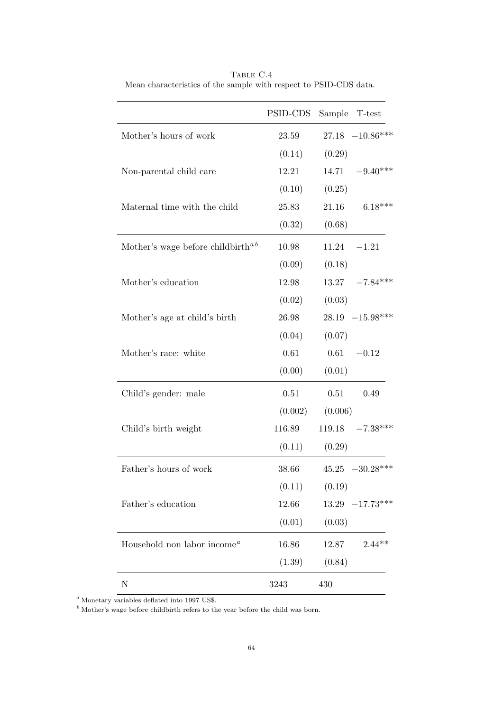|                                               | PSID-CDS          |         | Sample T-test       |
|-----------------------------------------------|-------------------|---------|---------------------|
| Mother's hours of work                        | 23.59             |         | $27.18 -10.86***$   |
|                                               | (0.14)            | (0.29)  |                     |
| Non-parental child care                       | 12.21             |         | $14.71 -9.40***$    |
|                                               | (0.10)            | (0.25)  |                     |
| Maternal time with the child                  | 25.83             | 21.16   | $6.18***$           |
|                                               | (0.32)            | (0.68)  |                     |
| Mother's wage before childbirth <sup>ab</sup> | 10.98             |         | $11.24 -1.21$       |
|                                               | (0.09)            | (0.18)  |                     |
| Mother's education                            | 12.98             |         | $13.27 -7.84***$    |
|                                               | (0.02)            | (0.03)  |                     |
| Mother's age at child's birth                 | 26.98             |         | $28.19 - 15.98***$  |
|                                               | (0.04)            | (0.07)  |                     |
| Mother's race: white                          | 0.61              |         | $0.61 - 0.12$       |
|                                               | (0.00)            | (0.01)  |                     |
| Child's gender: male                          | 0.51              | 0.51    | 0.49                |
|                                               | (0.002)           | (0.006) |                     |
| Child's birth weight                          | 116.89            |         | $119.18 -7.38***$   |
|                                               | (0.11)            | (0.29)  |                     |
| Father's hours of work                        | 38.66             |         | $45.25 -30.28***$   |
|                                               | $(0.11)$ $(0.19)$ |         |                     |
| Father's education                            | 12.66             |         | $13.29$ $-17.73***$ |
|                                               | (0.01)            | (0.03)  |                     |
| Household non labor income <sup>a</sup>       | 16.86             | 12.87   | $2.44**$            |
|                                               | (1.39)            | (0.84)  |                     |
| $\mathbf N$                                   | 3243              | 430     |                     |

TABLE  $\rm{C.4}$ Mean characteristics of the sample with respect to PSID-CDS data.

 $a$  Monetary variables deflated into 1997 US\$.

 $\overrightarrow{b}$  Mother's wage before childbirth refers to the year before the child was born.